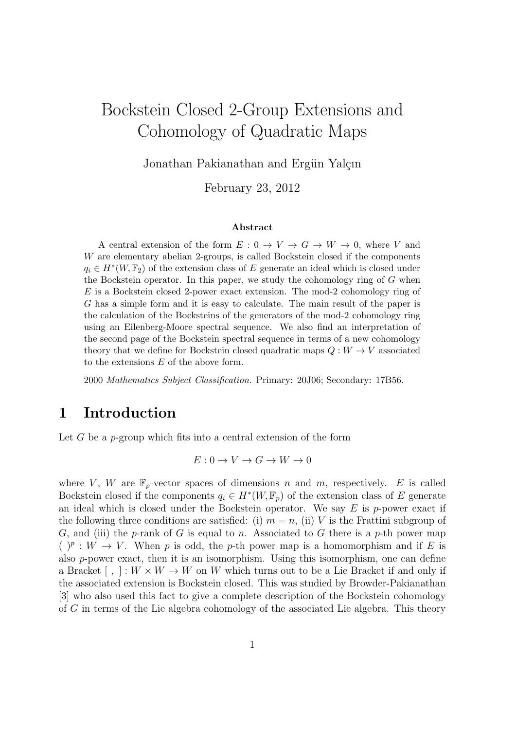# Bockstein Closed 2-Group Extensions and Cohomology of Quadratic Maps

Jonathan Pakianathan and Ergün Yalçın

February 23, 2012

#### Abstract

A central extension of the form  $E: 0 \to V \to G \to W \to 0$ , where V and W are elementary abelian 2-groups, is called Bockstein closed if the components  $q_i \in H^*(W, \mathbb{F}_2)$  of the extension class of E generate an ideal which is closed under the Bockstein operator. In this paper, we study the cohomology ring of G when E is a Bockstein closed 2-power exact extension. The mod-2 cohomology ring of G has a simple form and it is easy to calculate. The main result of the paper is the calculation of the Bocksteins of the generators of the mod-2 cohomology ring using an Eilenberg-Moore spectral sequence. We also find an interpretation of the second page of the Bockstein spectral sequence in terms of a new cohomology theory that we define for Bockstein closed quadratic maps  $Q: W \to V$  associated to the extensions E of the above form.

2000 Mathematics Subject Classification. Primary: 20J06; Secondary: 17B56.

### 1 Introduction

Let G be a p-group which fits into a central extension of the form

 $E: 0 \to V \to G \to W \to 0$ 

where V, W are  $\mathbb{F}_p$ -vector spaces of dimensions n and m, respectively. E is called Bockstein closed if the components  $q_i \in H^*(W, \mathbb{F}_p)$  of the extension class of E generate an ideal which is closed under the Bockstein operator. We say  $E$  is p-power exact if the following three conditions are satisfied: (i)  $m = n$ , (ii) V is the Frattini subgroup of G, and (iii) the p-rank of G is equal to n. Associated to G there is a p-th power map  $( )<sup>p</sup> : W \to V$ . When p is odd, the p-th power map is a homomorphism and if E is also p-power exact, then it is an isomorphism. Using this isomorphism, one can define a Bracket  $[ , ] : W \times W \rightarrow W$  on W which turns out to be a Lie Bracket if and only if the associated extension is Bockstein closed. This was studied by Browder-Pakianathan [3] who also used this fact to give a complete description of the Bockstein cohomology of G in terms of the Lie algebra cohomology of the associated Lie algebra. This theory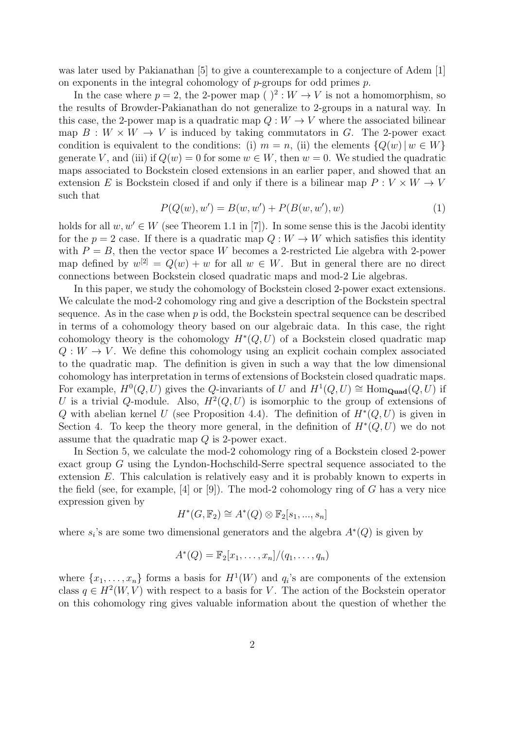was later used by Pakianathan [5] to give a counterexample to a conjecture of Adem [1] on exponents in the integral cohomology of  $p$ -groups for odd primes  $p$ .

In the case where  $p = 2$ , the 2-power map ( )<sup>2</sup> :  $W \to V$  is not a homomorphism, so the results of Browder-Pakianathan do not generalize to 2-groups in a natural way. In this case, the 2-power map is a quadratic map  $Q: W \to V$  where the associated bilinear map  $B: W \times W \rightarrow V$  is induced by taking commutators in G. The 2-power exact condition is equivalent to the conditions: (i)  $m = n$ , (ii) the elements  ${Q(w) | w \in W}$ generate V, and (iii) if  $Q(w) = 0$  for some  $w \in W$ , then  $w = 0$ . We studied the quadratic maps associated to Bockstein closed extensions in an earlier paper, and showed that an extension E is Bockstein closed if and only if there is a bilinear map  $P: V \times W \rightarrow V$ such that

$$
P(Q(w), w') = B(w, w') + P(B(w, w'), w)
$$
\n(1)

holds for all  $w, w' \in W$  (see Theorem 1.1 in [7]). In some sense this is the Jacobi identity for the  $p = 2$  case. If there is a quadratic map  $Q: W \to W$  which satisfies this identity with  $P = B$ , then the vector space W becomes a 2-restricted Lie algebra with 2-power map defined by  $w^{[2]} = Q(w) + w$  for all  $w \in W$ . But in general there are no direct connections between Bockstein closed quadratic maps and mod-2 Lie algebras.

In this paper, we study the cohomology of Bockstein closed 2-power exact extensions. We calculate the mod-2 cohomology ring and give a description of the Bockstein spectral sequence. As in the case when  $p$  is odd, the Bockstein spectral sequence can be described in terms of a cohomology theory based on our algebraic data. In this case, the right cohomology theory is the cohomology  $H^*(Q, U)$  of a Bockstein closed quadratic map  $Q: W \to V$ . We define this cohomology using an explicit cochain complex associated to the quadratic map. The definition is given in such a way that the low dimensional cohomology has interpretation in terms of extensions of Bockstein closed quadratic maps. For example,  $H^0(Q, U)$  gives the Q-invariants of U and  $H^1(Q, U) \cong \text{Hom}_{\text{Quad}}(Q, U)$  if U is a trivial Q-module. Also,  $H^2(Q, U)$  is isomorphic to the group of extensions of Q with abelian kernel U (see Proposition 4.4). The definition of  $H^*(Q, U)$  is given in Section 4. To keep the theory more general, in the definition of  $H^*(Q, U)$  we do not assume that the quadratic map Q is 2-power exact.

In Section 5, we calculate the mod-2 cohomology ring of a Bockstein closed 2-power exact group G using the Lyndon-Hochschild-Serre spectral sequence associated to the extension E. This calculation is relatively easy and it is probably known to experts in the field (see, for example,  $[4]$  or  $[9]$ ). The mod-2 cohomology ring of G has a very nice expression given by

$$
H^*(G, \mathbb{F}_2) \cong A^*(Q) \otimes \mathbb{F}_2[s_1, \dots, s_n]
$$

where  $s_i$ 's are some two dimensional generators and the algebra  $A^*(Q)$  is given by

$$
A^*(Q) = \mathbb{F}_2[x_1,\ldots,x_n]/(q_1,\ldots,q_n)
$$

where  $\{x_1, \ldots, x_n\}$  forms a basis for  $H^1(W)$  and  $q_i$ 's are components of the extension class  $q \in H^2(W, V)$  with respect to a basis for V. The action of the Bockstein operator on this cohomology ring gives valuable information about the question of whether the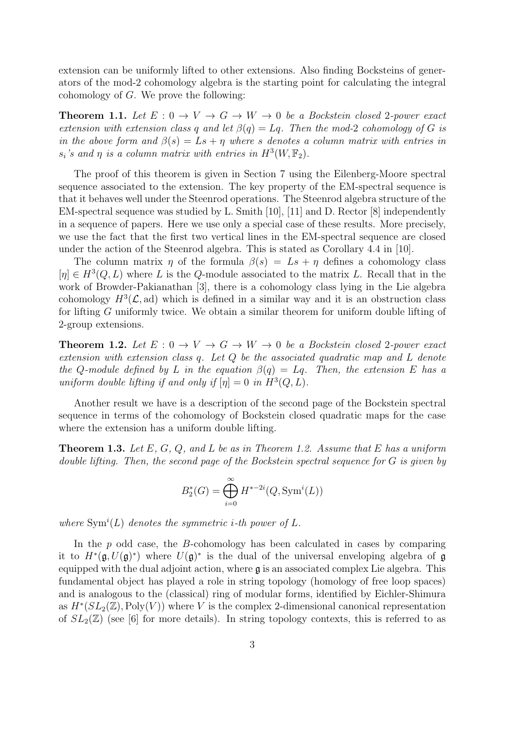extension can be uniformly lifted to other extensions. Also finding Bocksteins of generators of the mod-2 cohomology algebra is the starting point for calculating the integral cohomology of G. We prove the following:

**Theorem 1.1.** Let  $E: 0 \to V \to G \to W \to 0$  be a Bockstein closed 2-power exact extension with extension class q and let  $\beta(q) = Lq$ . Then the mod-2 cohomology of G is in the above form and  $\beta(s) = Ls + \eta$  where s denotes a column matrix with entries in  $s_i$ 's and  $\eta$  is a column matrix with entries in  $H^3(W, \mathbb{F}_2)$ .

The proof of this theorem is given in Section 7 using the Eilenberg-Moore spectral sequence associated to the extension. The key property of the EM-spectral sequence is that it behaves well under the Steenrod operations. The Steenrod algebra structure of the EM-spectral sequence was studied by L. Smith [10], [11] and D. Rector [8] independently in a sequence of papers. Here we use only a special case of these results. More precisely, we use the fact that the first two vertical lines in the EM-spectral sequence are closed under the action of the Steenrod algebra. This is stated as Corollary 4.4 in [10].

The column matrix  $\eta$  of the formula  $\beta(s) = Ls + \eta$  defines a cohomology class  $[\eta] \in H^3(Q, L)$  where L is the Q-module associated to the matrix L. Recall that in the work of Browder-Pakianathan [3], there is a cohomology class lying in the Lie algebra cohomology  $H^3(\mathcal{L}, \text{ad})$  which is defined in a similar way and it is an obstruction class for lifting G uniformly twice. We obtain a similar theorem for uniform double lifting of 2-group extensions.

**Theorem 1.2.** Let  $E: 0 \to V \to G \to W \to 0$  be a Bockstein closed 2-power exact extension with extension class q. Let Q be the associated quadratic map and L denote the Q-module defined by L in the equation  $\beta(q) = Lq$ . Then, the extension E has a uniform double lifting if and only if  $[\eta] = 0$  in  $H^3(Q, L)$ .

Another result we have is a description of the second page of the Bockstein spectral sequence in terms of the cohomology of Bockstein closed quadratic maps for the case where the extension has a uniform double lifting.

**Theorem 1.3.** Let  $E$ ,  $G$ ,  $Q$ , and  $L$  be as in Theorem 1.2. Assume that  $E$  has a uniform double lifting. Then, the second page of the Bockstein spectral sequence for  $G$  is given by

$$
B_2^*(G) = \bigoplus_{i=0}^{\infty} H^{*-2i}(Q, \text{Sym}^i(L))
$$

where  $\text{Sym}^i(L)$  denotes the symmetric *i*-th power of L.

In the  $p$  odd case, the  $B$ -cohomology has been calculated in cases by comparing it to  $H^*(\mathfrak{g}, U(\mathfrak{g})^*)$  where  $U(\mathfrak{g})^*$  is the dual of the universal enveloping algebra of  $\mathfrak{g}$ equipped with the dual adjoint action, where  $\mathfrak g$  is an associated complex Lie algebra. This fundamental object has played a role in string topology (homology of free loop spaces) and is analogous to the (classical) ring of modular forms, identified by Eichler-Shimura as  $H^*(SL_2(\mathbb{Z}), \mathrm{Poly}(V))$  where V is the complex 2-dimensional canonical representation of  $SL_2(\mathbb{Z})$  (see [6] for more details). In string topology contexts, this is referred to as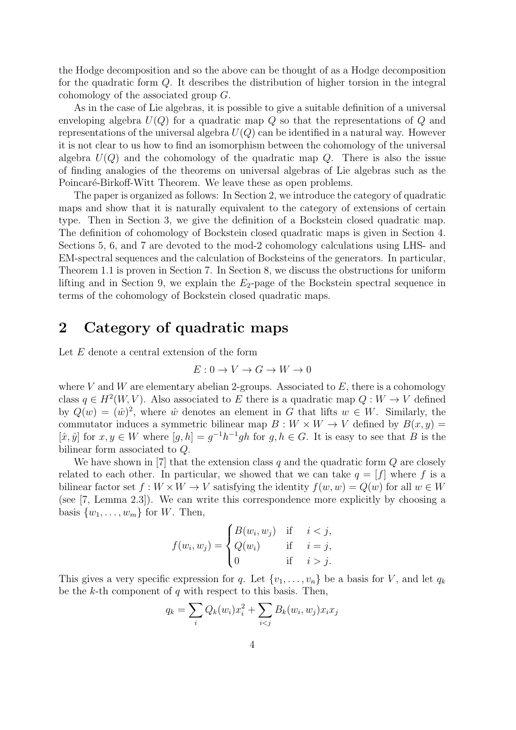the Hodge decomposition and so the above can be thought of as a Hodge decomposition for the quadratic form  $Q$ . It describes the distribution of higher torsion in the integral cohomology of the associated group G.

As in the case of Lie algebras, it is possible to give a suitable definition of a universal enveloping algebra  $U(Q)$  for a quadratic map Q so that the representations of Q and representations of the universal algebra  $U(Q)$  can be identified in a natural way. However it is not clear to us how to find an isomorphism between the cohomology of the universal algebra  $U(Q)$  and the cohomology of the quadratic map Q. There is also the issue of finding analogies of the theorems on universal algebras of Lie algebras such as the Poincaré-Birkoff-Witt Theorem. We leave these as open problems.

The paper is organized as follows: In Section 2, we introduce the category of quadratic maps and show that it is naturally equivalent to the category of extensions of certain type. Then in Section 3, we give the definition of a Bockstein closed quadratic map. The definition of cohomology of Bockstein closed quadratic maps is given in Section 4. Sections 5, 6, and 7 are devoted to the mod-2 cohomology calculations using LHS- and EM-spectral sequences and the calculation of Bocksteins of the generators. In particular, Theorem 1.1 is proven in Section 7. In Section 8, we discuss the obstructions for uniform lifting and in Section 9, we explain the  $E_2$ -page of the Bockstein spectral sequence in terms of the cohomology of Bockstein closed quadratic maps.

## 2 Category of quadratic maps

Let E denote a central extension of the form

$$
E: 0 \to V \to G \to W \to 0
$$

where V and W are elementary abelian 2-groups. Associated to  $E$ , there is a cohomology class  $q \in H^2(W, V)$ . Also associated to E there is a quadratic map  $Q: W \to V$  defined by  $Q(w) = \langle \hat{w} \rangle^2$ , where  $\hat{w}$  denotes an element in G that lifts  $w \in W$ . Similarly, the commutator induces a symmetric bilinear map  $B: W \times W \rightarrow V$  defined by  $B(x, y) =$  $[\hat{x}, \hat{y}]$  for  $x, y \in W$  where  $[g, h] = g^{-1}h^{-1}gh$  for  $g, h \in G$ . It is easy to see that B is the bilinear form associated to Q.

We have shown in [7] that the extension class q and the quadratic form  $Q$  are closely related to each other. In particular, we showed that we can take  $q = [f]$  where f is a bilinear factor set  $f: W \times W \to V$  satisfying the identity  $f(w, w) = Q(w)$  for all  $w \in W$ (see [7, Lemma 2.3]). We can write this correspondence more explicitly by choosing a basis  $\{w_1, \ldots, w_m\}$  for W. Then,

$$
f(w_i, w_j) = \begin{cases} B(w_i, w_j) & \text{if } i < j, \\ Q(w_i) & \text{if } i = j, \\ 0 & \text{if } i > j. \end{cases}
$$

This gives a very specific expression for q. Let  $\{v_1, \ldots, v_n\}$  be a basis for V, and let  $q_k$ be the  $k$ -th component of  $q$  with respect to this basis. Then,

$$
q_k = \sum_i Q_k(w_i) x_i^2 + \sum_{i < j} B_k(w_i, w_j) x_i x_j
$$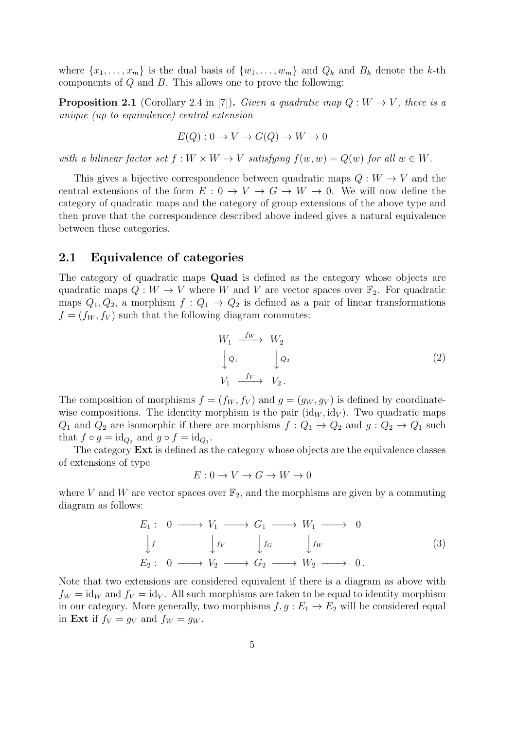where  $\{x_1, \ldots, x_m\}$  is the dual basis of  $\{w_1, \ldots, w_m\}$  and  $Q_k$  and  $B_k$  denote the k-th components of  $Q$  and  $B$ . This allows one to prove the following:

**Proposition 2.1** (Corollary 2.4 in [7]). Given a quadratic map  $Q: W \to V$ , there is a unique (up to equivalence) central extension

$$
E(Q): 0 \to V \to G(Q) \to W \to 0
$$

with a bilinear factor set  $f: W \times W \to V$  satisfying  $f(w, w) = Q(w)$  for all  $w \in W$ .

This gives a bijective correspondence between quadratic maps  $Q: W \to V$  and the central extensions of the form  $E: 0 \to V \to G \to W \to 0$ . We will now define the category of quadratic maps and the category of group extensions of the above type and then prove that the correspondence described above indeed gives a natural equivalence between these categories.

#### 2.1 Equivalence of categories

The category of quadratic maps Quad is defined as the category whose objects are quadratic maps  $Q: W \to V$  where W and V are vector spaces over  $\mathbb{F}_2$ . For quadratic maps  $Q_1, Q_2$ , a morphism  $f: Q_1 \to Q_2$  is defined as a pair of linear transformations  $f = (f_W, f_V)$  such that the following diagram commutes:

$$
W_1 \xrightarrow{f_W} W_2
$$
  
\n
$$
\downarrow Q_1 \qquad \qquad Q_2
$$
  
\n
$$
V_1 \xrightarrow{f_V} V_2.
$$
  
\n(2)

The composition of morphisms  $f = (f_W, f_V)$  and  $g = (g_W, g_V)$  is defined by coordinatewise compositions. The identity morphism is the pair  $(id_W, id_V)$ . Two quadratic maps  $Q_1$  and  $Q_2$  are isomorphic if there are morphisms  $f: Q_1 \to Q_2$  and  $g: Q_2 \to Q_1$  such that  $f \circ g = \mathrm{id}_{Q_2}$  and  $g \circ f = \mathrm{id}_{Q_1}$ .

The category **Ext** is defined as the category whose objects are the equivalence classes of extensions of type

$$
E: 0 \to V \to G \to W \to 0
$$

where V and W are vector spaces over  $\mathbb{F}_2$ , and the morphisms are given by a commuting diagram as follows:

$$
E_1: 0 \longrightarrow V_1 \longrightarrow G_1 \longrightarrow W_1 \longrightarrow 0
$$
  
\n
$$
\downarrow f \qquad \qquad \downarrow f_V \qquad \qquad \downarrow f_G \qquad \qquad \downarrow f_W
$$
  
\n
$$
E_2: 0 \longrightarrow V_2 \longrightarrow G_2 \longrightarrow W_2 \longrightarrow 0.
$$
  
\n(3)

Note that two extensions are considered equivalent if there is a diagram as above with  $f_W = id_W$  and  $f_V = id_V$ . All such morphisms are taken to be equal to identity morphism in our category. More generally, two morphisms  $f, g : E_1 \to E_2$  will be considered equal in Ext if  $f_V = g_V$  and  $f_W = g_W$ .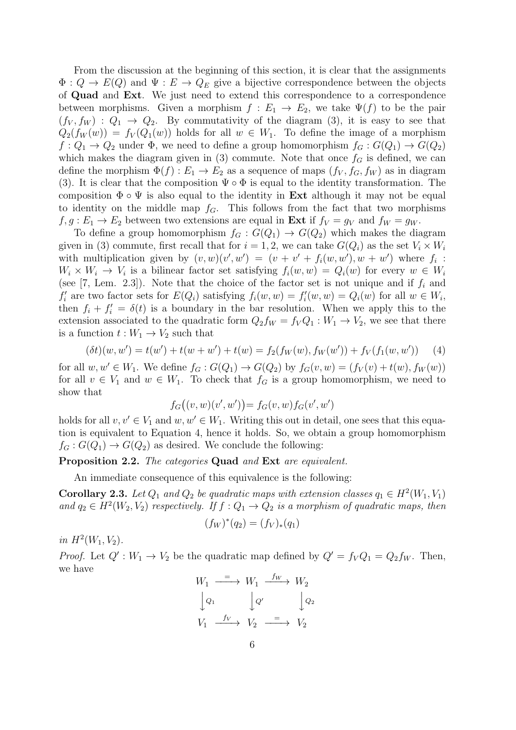From the discussion at the beginning of this section, it is clear that the assignments  $\Phi: Q \to E(Q)$  and  $\Psi: E \to Q_E$  give a bijective correspondence between the objects of Quad and Ext. We just need to extend this correspondence to a correspondence between morphisms. Given a morphism  $f: E_1 \to E_2$ , we take  $\Psi(f)$  to be the pair  $(f_V, f_W) : Q_1 \to Q_2$ . By commutativity of the diagram (3), it is easy to see that  $Q_2(f_W(w)) = f_V(Q_1(w))$  holds for all  $w \in W_1$ . To define the image of a morphism  $f: Q_1 \to Q_2$  under  $\Phi$ , we need to define a group homomorphism  $f_G: G(Q_1) \to G(Q_2)$ which makes the diagram given in (3) commute. Note that once  $f<sub>G</sub>$  is defined, we can define the morphism  $\Phi(f) : E_1 \to E_2$  as a sequence of maps  $(f_V, f_G, f_W)$  as in diagram (3). It is clear that the composition  $\Psi \circ \Phi$  is equal to the identity transformation. The composition  $\Phi \circ \Psi$  is also equal to the identity in **Ext** although it may not be equal to identity on the middle map  $f_G$ . This follows from the fact that two morphisms  $f, g: E_1 \to E_2$  between two extensions are equal in **Ext** if  $f_V = g_V$  and  $f_W = g_W$ .

To define a group homomorphism  $f_G : G(Q_1) \to G(Q_2)$  which makes the diagram given in (3) commute, first recall that for  $i = 1, 2$ , we can take  $G(Q_i)$  as the set  $V_i \times W_i$ with multiplication given by  $(v, w)(v', w') = (v + v' + f_i(w, w'), w + w')$  where  $f_i$ :  $W_i \times W_i \to V_i$  is a bilinear factor set satisfying  $f_i(w, w) = Q_i(w)$  for every  $w \in W_i$ (see [7, Lem. 2.3]). Note that the choice of the factor set is not unique and if  $f_i$  and  $f'_{i}$  are two factor sets for  $E(Q_{i})$  satisfying  $f_{i}(w, w) = f'_{i}(w, w) = Q_{i}(w)$  for all  $w \in W_{i}$ , then  $f_i + f'_i = \delta(t)$  is a boundary in the bar resolution. When we apply this to the extension associated to the quadratic form  $Q_2 f_W = f_V Q_1 : W_1 \to V_2$ , we see that there is a function  $t: W_1 \to V_2$  such that

$$
(\delta t)(w, w') = t(w') + t(w + w') + t(w) = f_2(f_W(w), f_W(w')) + f_V(f_1(w, w')) \tag{4}
$$

for all  $w, w' \in W_1$ . We define  $f_G : G(Q_1) \to G(Q_2)$  by  $f_G(v, w) = (f_V(v) + t(w), f_W(w))$ for all  $v \in V_1$  and  $w \in W_1$ . To check that  $f_G$  is a group homomorphism, we need to show that

$$
f_G((v, w)(v', w')) = f_G(v, w) f_G(v', w')
$$

holds for all  $v, v' \in V_1$  and  $w, w' \in W_1$ . Writing this out in detail, one sees that this equation is equivalent to Equation 4, hence it holds. So, we obtain a group homomorphism  $f_G: G(Q_1) \to G(Q_2)$  as desired. We conclude the following:

Proposition 2.2. The categories Quad and Ext are equivalent.

An immediate consequence of this equivalence is the following:

**Corollary 2.3.** Let  $Q_1$  and  $Q_2$  be quadratic maps with extension classes  $q_1 \in H^2(W_1, V_1)$ and  $q_2 \in H^2(W_2, V_2)$  respectively. If  $f: Q_1 \to Q_2$  is a morphism of quadratic maps, then

$$
(f_W)^*(q_2) = (f_V)_*(q_1)
$$

in  $H^2(W_1, V_2)$ .

*Proof.* Let  $Q' : W_1 \to V_2$  be the quadratic map defined by  $Q' = f_V Q_1 = Q_2 f_W$ . Then, we have

$$
W_1 \xrightarrow{=} W_1 \xrightarrow{f_W} W_2
$$
  
\n
$$
\downarrow Q_1 \qquad \qquad Q' \qquad \qquad \downarrow Q_2
$$
  
\n
$$
V_1 \xrightarrow{f_V} V_2 \xrightarrow{=} V_2
$$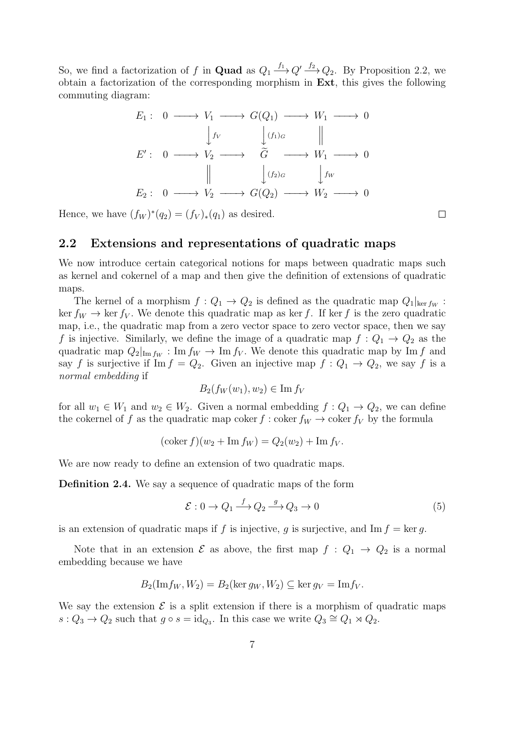So, we find a factorization of f in **Quad** as  $Q_1 \xrightarrow{f_1} Q' \xrightarrow{f_2} Q_2$ . By Proposition 2.2, we obtain a factorization of the corresponding morphism in Ext, this gives the following commuting diagram:

$$
E_1: 0 \longrightarrow V_1 \longrightarrow G(Q_1) \longrightarrow W_1 \longrightarrow 0
$$
  
\n
$$
\downarrow f_V \qquad \qquad \downarrow (f_1)_G \qquad ||
$$
  
\n
$$
E': 0 \longrightarrow V_2 \longrightarrow \widetilde{G} \longrightarrow W_1 \longrightarrow 0
$$
  
\n
$$
\parallel \qquad \qquad \downarrow (f_2)_G \qquad \qquad \downarrow f_W
$$
  
\n
$$
E_2: 0 \longrightarrow V_2 \longrightarrow G(Q_2) \longrightarrow W_2 \longrightarrow 0
$$

Hence, we have  $(f_W)^*(q_2) = (f_V)_*(q_1)$  as desired.

#### 2.2 Extensions and representations of quadratic maps

We now introduce certain categorical notions for maps between quadratic maps such as kernel and cokernel of a map and then give the definition of extensions of quadratic maps.

The kernel of a morphism  $f: Q_1 \to Q_2$  is defined as the quadratic map  $Q_1|_{\text{ker } f_W}$ : ker  $f_W \to \ker f_V$ . We denote this quadratic map as ker f. If ker f is the zero quadratic map, i.e., the quadratic map from a zero vector space to zero vector space, then we say f is injective. Similarly, we define the image of a quadratic map  $f: Q_1 \rightarrow Q_2$  as the quadratic map  $Q_2|_{\text{Im }f_W}: \text{Im } f_W \to \text{Im } f_V$ . We denote this quadratic map by Im f and say f is surjective if Im  $f = Q_2$ . Given an injective map  $f: Q_1 \rightarrow Q_2$ , we say f is a normal embedding if

$$
B_2(f_W(w_1), w_2) \in \operatorname{Im} f_V
$$

for all  $w_1 \in W_1$  and  $w_2 \in W_2$ . Given a normal embedding  $f: Q_1 \to Q_2$ , we can define the cokernel of f as the quadratic map coker f : coker  $f_W \to \text{coker } f_V$  by the formula

$$
(\mathrm{coker}\, f)(w_2 + \mathrm{Im}\, f_W) = Q_2(w_2) + \mathrm{Im}\, f_V.
$$

We are now ready to define an extension of two quadratic maps.

Definition 2.4. We say a sequence of quadratic maps of the form

$$
\mathcal{E}: 0 \to Q_1 \xrightarrow{f} Q_2 \xrightarrow{g} Q_3 \to 0 \tag{5}
$$

is an extension of quadratic maps if f is injective, q is surjective, and Im  $f = \ker q$ .

Note that in an extension  $\mathcal E$  as above, the first map  $f : Q_1 \to Q_2$  is a normal embedding because we have

$$
B_2(\mathrm{Im} f_W, W_2) = B_2(\ker g_W, W_2) \subseteq \ker g_V = \mathrm{Im} f_V.
$$

We say the extension  $\mathcal E$  is a split extension if there is a morphism of quadratic maps  $s: Q_3 \to Q_2$  such that  $g \circ s = \mathrm{id}_{Q_3}$ . In this case we write  $Q_3 \cong Q_1 \rtimes Q_2$ .

 $\Box$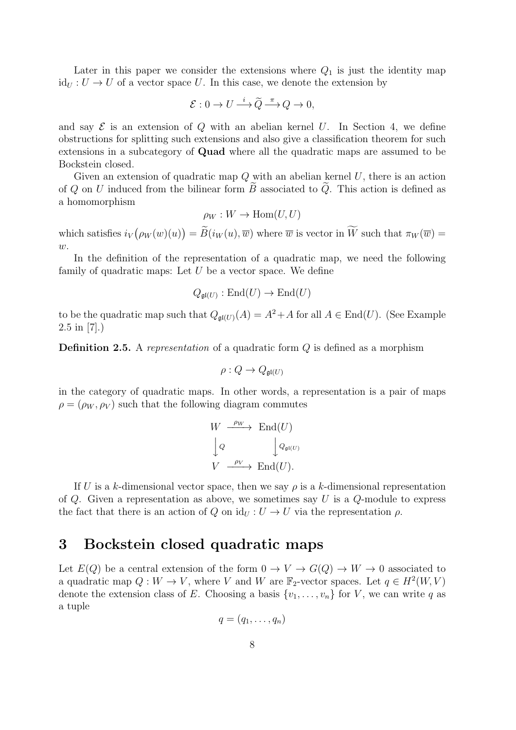Later in this paper we consider the extensions where  $Q_1$  is just the identity map  $id<sub>U</sub> : U \rightarrow U$  of a vector space U. In this case, we denote the extension by

$$
\mathcal{E}: 0 \to U \stackrel{i}{\longrightarrow} \widetilde{Q} \stackrel{\pi}{\longrightarrow} Q \to 0,
$$

and say  $\mathcal E$  is an extension of Q with an abelian kernel U. In Section 4, we define obstructions for splitting such extensions and also give a classification theorem for such extensions in a subcategory of Quad where all the quadratic maps are assumed to be Bockstein closed.

Given an extension of quadratic map  $Q$  with an abelian kernel U, there is an action of Q on U induced from the bilinear form  $\tilde{B}$  associated to  $\tilde{Q}$ . This action is defined as a homomorphism

$$
\rho_W: W \to \text{Hom}(U, U)
$$

which satisfies  $i_V(\rho_W(w)(u)) = \overline{B}(i_W(u), \overline{w})$  where  $\overline{w}$  is vector in W such that  $\pi_W(\overline{w}) =$  $\overline{w}$ .

In the definition of the representation of a quadratic map, we need the following family of quadratic maps: Let  $U$  be a vector space. We define

$$
Q_{\mathfrak{gl}(U)} : \mathrm{End}(U) \to \mathrm{End}(U)
$$

to be the quadratic map such that  $Q_{\mathfrak{gl}(U)}(A) = A^2 + A$  for all  $A \in \text{End}(U)$ . (See Example  $2.5 \text{ in } [7]$ .)

**Definition 2.5.** A representation of a quadratic form  $Q$  is defined as a morphism

$$
\rho: Q \to Q_{\mathfrak{gl}(U)}
$$

in the category of quadratic maps. In other words, a representation is a pair of maps  $\rho = (\rho_W, \rho_V)$  such that the following diagram commutes

$$
W \xrightarrow{\rho_W} \text{End}(U)
$$
  
\n
$$
\downarrow Q \qquad \qquad \downarrow Q_{\mathfrak{gl}(U)}
$$
  
\n
$$
V \xrightarrow{\rho_V} \text{End}(U).
$$

If U is a k-dimensional vector space, then we say  $\rho$  is a k-dimensional representation of  $Q$ . Given a representation as above, we sometimes say U is a  $Q$ -module to express the fact that there is an action of Q on  $\mathrm{id}_U : U \to U$  via the representation  $\rho$ .

### 3 Bockstein closed quadratic maps

Let  $E(Q)$  be a central extension of the form  $0 \to V \to G(Q) \to W \to 0$  associated to a quadratic map  $Q: W \to V$ , where V and W are  $\mathbb{F}_2$ -vector spaces. Let  $q \in H^2(W, V)$ denote the extension class of E. Choosing a basis  $\{v_1, \ldots, v_n\}$  for V, we can write q as a tuple

$$
q=(q_1,\ldots,q_n)
$$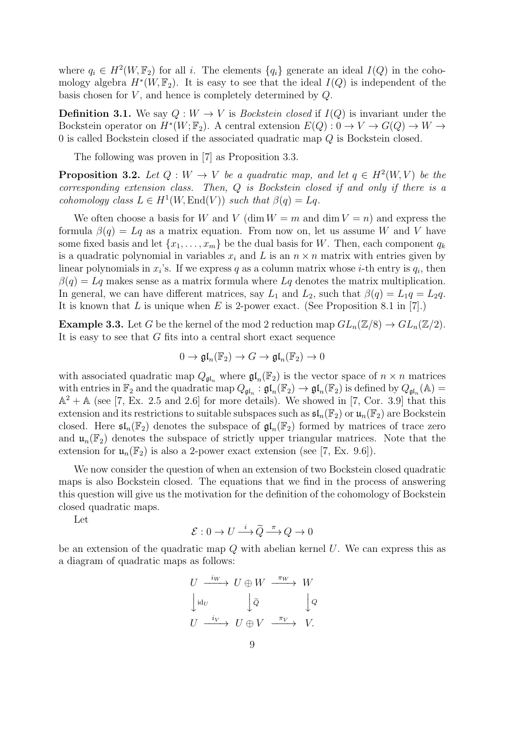where  $q_i \in H^2(W, \mathbb{F}_2)$  for all i. The elements  $\{q_i\}$  generate an ideal  $I(Q)$  in the cohomology algebra  $H^*(W, \mathbb{F}_2)$ . It is easy to see that the ideal  $I(Q)$  is independent of the basis chosen for  $V$ , and hence is completely determined by  $Q$ .

**Definition 3.1.** We say  $Q: W \to V$  is *Bockstein closed* if  $I(Q)$  is invariant under the Bockstein operator on  $H^*(W; \mathbb{F}_2)$ . A central extension  $E(Q) : 0 \to V \to G(Q) \to W \to$ 0 is called Bockstein closed if the associated quadratic map Q is Bockstein closed.

The following was proven in [7] as Proposition 3.3.

**Proposition 3.2.** Let  $Q: W \to V$  be a quadratic map, and let  $q \in H^2(W, V)$  be the corresponding extension class. Then, Q is Bockstein closed if and only if there is a cohomology class  $L \in H^1(W, \text{End}(V))$  such that  $\beta(q) = Lq$ .

We often choose a basis for W and V (dim  $W = m$  and dim  $V = n$ ) and express the formula  $\beta(q) = Lq$  as a matrix equation. From now on, let us assume W and V have some fixed basis and let  $\{x_1, \ldots, x_m\}$  be the dual basis for W. Then, each component  $q_k$ is a quadratic polynomial in variables  $x_i$  and L is an  $n \times n$  matrix with entries given by linear polynomials in  $x_i$ 's. If we express q as a column matrix whose *i*-th entry is  $q_i$ , then  $\beta(q) = Lq$  makes sense as a matrix formula where  $Lq$  denotes the matrix multiplication. In general, we can have different matrices, say  $L_1$  and  $L_2$ , such that  $\beta(q) = L_1q = L_2q$ . It is known that  $L$  is unique when  $E$  is 2-power exact. (See Proposition 8.1 in [7].)

**Example 3.3.** Let G be the kernel of the mod 2 reduction map  $GL_n(\mathbb{Z}/8) \to GL_n(\mathbb{Z}/2)$ . It is easy to see that  $G$  fits into a central short exact sequence

$$
0 \to \mathfrak{gl}_n(\mathbb{F}_2) \to G \to \mathfrak{gl}_n(\mathbb{F}_2) \to 0
$$

with associated quadratic map  $Q_{\mathfrak{gl}_n}$  where  $\mathfrak{gl}_n(\mathbb{F}_2)$  is the vector space of  $n \times n$  matrices with entries in  $\mathbb{F}_2$  and the quadratic map  $Q_{\mathfrak{gl}_n} : \mathfrak{gl}_n(\mathbb{F}_2) \to \mathfrak{gl}_n(\mathbb{F}_2)$  is defined by  $Q_{\mathfrak{gl}_n}(\mathbb{A}) =$  $\mathbb{A}^2 + \mathbb{A}$  (see [7, Ex. 2.5 and 2.6] for more details). We showed in [7, Cor. 3.9] that this extension and its restrictions to suitable subspaces such as  $\mathfrak{sl}_n(\mathbb{F}_2)$  or  $\mathfrak{u}_n(\mathbb{F}_2)$  are Bockstein closed. Here  $\mathfrak{sl}_n(\mathbb{F}_2)$  denotes the subspace of  $\mathfrak{gl}_n(\mathbb{F}_2)$  formed by matrices of trace zero and  $\mathfrak{u}_n(\mathbb{F}_2)$  denotes the subspace of strictly upper triangular matrices. Note that the extension for  $\mathfrak{u}_n(\mathbb{F}_2)$  is also a 2-power exact extension (see [7, Ex. 9.6]).

We now consider the question of when an extension of two Bockstein closed quadratic maps is also Bockstein closed. The equations that we find in the process of answering this question will give us the motivation for the definition of the cohomology of Bockstein closed quadratic maps.

Let

$$
\mathcal{E}: 0 \to U \xrightarrow{i} \widetilde{Q} \xrightarrow{\pi} Q \to 0
$$

be an extension of the quadratic map  $Q$  with abelian kernel  $U$ . We can express this as a diagram of quadratic maps as follows:

$$
U \xrightarrow{i_W} U \oplus W \xrightarrow{\pi_W} W
$$

$$
\downarrow id_U \qquad \qquad \downarrow \tilde{Q} \qquad \qquad \downarrow Q
$$

$$
U \xrightarrow{i_V} U \oplus V \xrightarrow{\pi_V} V.
$$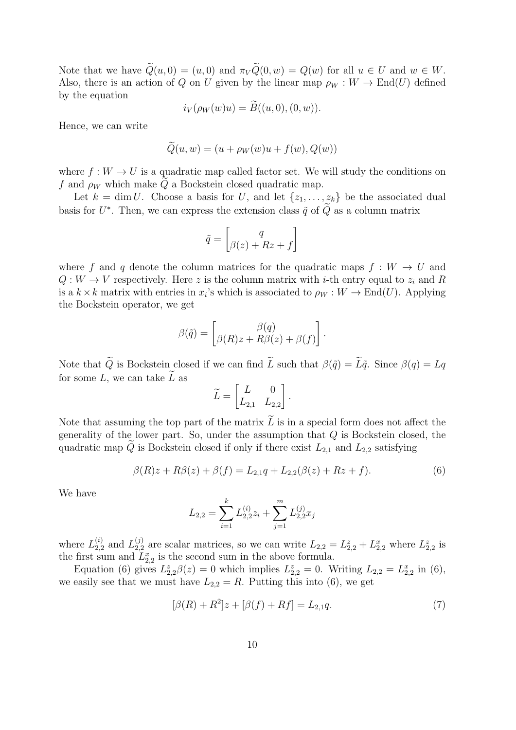Note that we have  $\widetilde{Q}(u, 0) = (u, 0)$  and  $\pi_V \widetilde{Q}(0, w) = Q(w)$  for all  $u \in U$  and  $w \in W$ . Also, there is an action of Q on U given by the linear map  $\rho_W : W \to \text{End}(U)$  defined by the equation

$$
i_V(\rho_W(w)u) = B((u, 0), (0, w)).
$$

Hence, we can write

$$
\widetilde{Q}(u, w) = (u + \rho_W(w)u + f(w), Q(w))
$$

where  $f: W \to U$  is a quadratic map called factor set. We will study the conditions on f and  $\rho_W$  which make Q a Bockstein closed quadratic map.

Let  $k = \dim U$ . Choose a basis for U, and let  $\{z_1, \ldots, z_k\}$  be the associated dual basis for  $U^*$ . Then, we can express the extension class  $\tilde{q}$  of  $\tilde{Q}$  as a column matrix

$$
\tilde{q} = \begin{bmatrix} q \\ \beta(z) + Rz + f \end{bmatrix}
$$

where f and q denote the column matrices for the quadratic maps  $f : W \to U$  and  $Q: W \to V$  respectively. Here z is the column matrix with *i*-th entry equal to  $z_i$  and R is a  $k \times k$  matrix with entries in  $x_i$ 's which is associated to  $\rho_W : W \to \text{End}(U)$ . Applying the Bockstein operator, we get

$$
\beta(\tilde{q}) = \begin{bmatrix} \beta(q) \\ \beta(R)z + R\beta(z) + \beta(f) \end{bmatrix}.
$$

Note that  $\tilde{Q}$  is Bockstein closed if we can find  $\tilde{L}$  such that  $\beta(\tilde{q}) = \tilde{L}\tilde{q}$ . Since  $\beta(q) = Lq$ for some L, we can take  $\tilde{L}$  as

$$
\widetilde{L} = \begin{bmatrix} L & 0 \\ L_{2,1} & L_{2,2} \end{bmatrix}.
$$

Note that assuming the top part of the matrix  $\tilde{L}$  is in a special form does not affect the generality of the lower part. So, under the assumption that  $Q$  is Bockstein closed, the quadratic map  $\widetilde{Q}$  is Bockstein closed if only if there exist  $L_{2,1}$  and  $L_{2,2}$  satisfying

$$
\beta(R)z + R\beta(z) + \beta(f) = L_{2,1}q + L_{2,2}(\beta(z) + Rz + f). \tag{6}
$$

We have

$$
L_{2,2} = \sum_{i=1}^{k} L_{2,2}^{(i)} z_i + \sum_{j=1}^{m} L_{2,2}^{(j)} x_j
$$

where  $L_{2,2}^{(i)}$  $_{2,2}^{(i)}$  and  $L_{2,2}^{(j)}$  $L_{2,2}^{(j)}$  are scalar matrices, so we can write  $L_{2,2} = L_{2,2}^z + L_{2,2}^x$  where  $L_{2,2}^z$  is the first sum and  $L_{2,2}^x$  is the second sum in the above formula.

Equation (6) gives  $L_{2,2}^z \beta(z) = 0$  which implies  $L_{2,2}^z = 0$ . Writing  $L_{2,2} = L_{2,2}^x$  in (6), we easily see that we must have  $L_{2,2} = R$ . Putting this into (6), we get

$$
[\beta(R) + R^2]z + [\beta(f) + Rf] = L_{2,1}q.
$$
\n(7)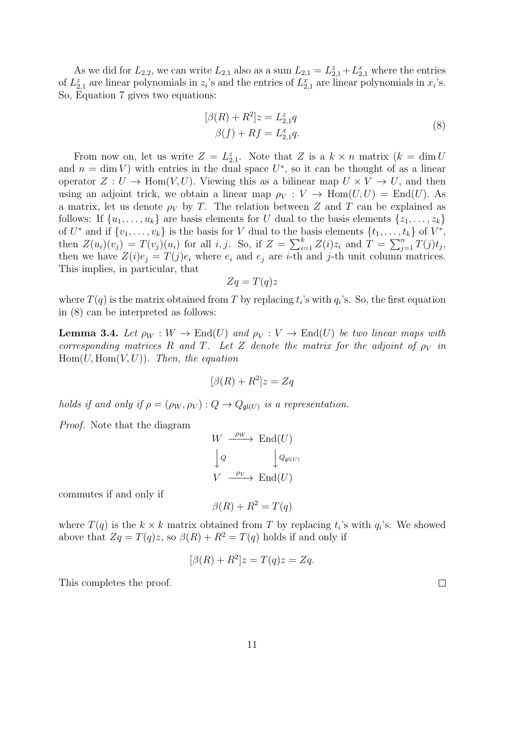As we did for  $L_{2,2}$ , we can write  $L_{2,1}$  also as a sum  $L_{2,1} = L_{2,1}^z + L_{2,1}^x$  where the entries of  $L_{2,1}^z$  are linear polynomials in  $z_i$ 's and the entries of  $L_{2,1}^x$  are linear polynomials in  $x_i$ 's. So, Equation 7 gives two equations:

$$
[\beta(R) + R^2]z = L_{2,1}^z q
$$
  
 
$$
\beta(f) + Rf = L_{2,1}^x q.
$$
 (8)

From now on, let us write  $Z = L_{2,1}^z$ . Note that Z is a  $k \times n$  matrix  $(k = \dim U)$ and  $n = \dim V$ ) with entries in the dual space  $U^*$ , so it can be thought of as a linear operator  $Z: U \to \text{Hom}(V, U)$ . Viewing this as a bilinear map  $U \times V \to U$ , and then using an adjoint trick, we obtain a linear map  $\rho_V : V \to \text{Hom}(U, U) = \text{End}(U)$ . As a matrix, let us denote  $\rho_V$  by T. The relation between Z and T can be explained as follows: If  $\{u_1, \ldots, u_k\}$  are basis elements for U dual to the basis elements  $\{z_1, \ldots, z_k\}$ of  $U^*$  and if  $\{v_1, \ldots, v_k\}$  is the basis for V dual to the basis elements  $\{t_1, \ldots, t_k\}$  of  $V^*$ , then  $Z(u_i)(v_j) = T(v_j)(u_i)$  for all  $i, j$ . So, if  $Z = \sum_{i=1}^k Z(i)z_i$  and  $T = \sum_{j=1}^n T(j)t_j$ , then we have  $Z(i)e_j = T(j)e_i$  where  $e_i$  and  $e_j$  are *i*-th and *j*-th unit column matrices. This implies, in particular, that

$$
Zq = T(q)z
$$

where  $T(q)$  is the matrix obtained from T by replacing  $t_i$ 's with  $q_i$ 's. So, the first equation in (8) can be interpreted as follows:

**Lemma 3.4.** Let  $\rho_W : W \to \text{End}(U)$  and  $\rho_V : V \to \text{End}(U)$  be two linear maps with corresponding matrices R and T. Let Z denote the matrix for the adjoint of  $\rho_V$  in  $Hom(U, Hom(V, U))$ . Then, the equation

$$
[\beta(R) + R^2]z = Zq
$$

holds if and only if  $\rho = (\rho_W, \rho_V) : Q \to Q_{\mathfrak{gl}(U)}$  is a representation.

Proof. Note that the diagram

$$
W \xrightarrow{\rho_W} \text{End}(U)
$$
  
\n
$$
\downarrow Q \qquad \qquad \downarrow Q_{\mathfrak{gl}(U)}
$$
  
\n
$$
V \xrightarrow{\rho_V} \text{End}(U)
$$

commutes if and only if

$$
\beta(R) + R^2 = T(q)
$$

where  $T(q)$  is the  $k \times k$  matrix obtained from T by replacing  $t_i$ 's with  $q_i$ 's. We showed above that  $Zq = T(q)z$ , so  $\beta(R) + R^2 = T(q)$  holds if and only if

$$
[\beta(R) + R^2]z = T(q)z = Zq.
$$

This completes the proof.

11

 $\Box$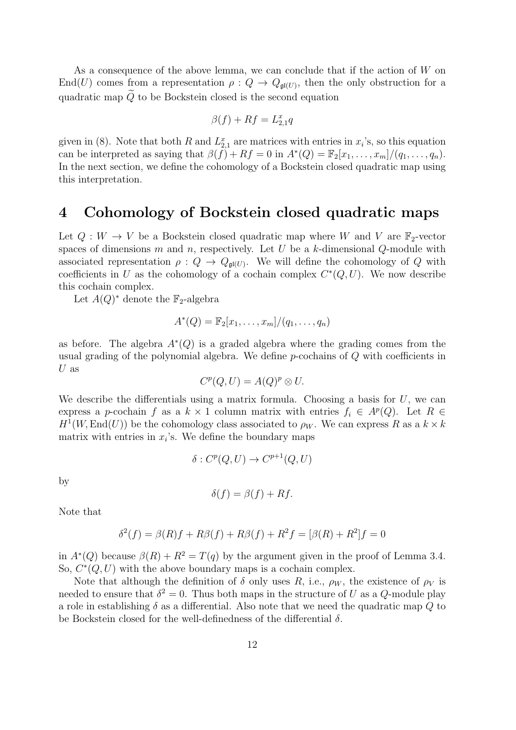As a consequence of the above lemma, we can conclude that if the action of W on End(U) comes from a representation  $\rho: Q \to Q_{\mathfrak{gl}(U)}$ , then the only obstruction for a quadratic map  $\widetilde{Q}$  to be Bockstein closed is the second equation

$$
\beta(f)+Rf=L_{2,1}^xq
$$

given in (8). Note that both R and  $L_{2,1}^x$  are matrices with entries in  $x_i$ 's, so this equation can be interpreted as saying that  $\beta(\tilde{f}) + Rf = 0$  in  $A^*(Q) = \mathbb{F}_2[x_1, \ldots, x_m]/(q_1, \ldots, q_n)$ . In the next section, we define the cohomology of a Bockstein closed quadratic map using this interpretation.

### 4 Cohomology of Bockstein closed quadratic maps

Let  $Q: W \to V$  be a Bockstein closed quadratic map where W and V are  $\mathbb{F}_2$ -vector spaces of dimensions  $m$  and  $n$ , respectively. Let  $U$  be a  $k$ -dimensional  $Q$ -module with associated representation  $\rho: Q \to Q_{\mathfrak{gl}(U)}$ . We will define the cohomology of Q with coefficients in U as the cohomology of a cochain complex  $C^*(Q, U)$ . We now describe this cochain complex.

Let  $A(Q)^*$  denote the  $\mathbb{F}_2$ -algebra

$$
A^*(Q) = \mathbb{F}_2[x_1,\ldots,x_m]/(q_1,\ldots,q_n)
$$

as before. The algebra  $A^*(Q)$  is a graded algebra where the grading comes from the usual grading of the polynomial algebra. We define p-cochains of Q with coefficients in  $U$  as

$$
C^p(Q, U) = A(Q)^p \otimes U.
$$

We describe the differentials using a matrix formula. Choosing a basis for  $U$ , we can express a p-cochain f as a  $k \times 1$  column matrix with entries  $f_i \in A^p(Q)$ . Let  $R \in$  $H^1(W, \text{End}(U))$  be the cohomology class associated to  $\rho_W$ . We can express R as a  $k \times k$ matrix with entries in  $x_i$ 's. We define the boundary maps

$$
\delta: C^p(Q, U) \to C^{p+1}(Q, U)
$$

by

$$
\delta(f) = \beta(f) + Rf.
$$

Note that

$$
\delta^{2}(f) = \beta(R)f + R\beta(f) + R\beta(f) + R^{2}f = [\beta(R) + R^{2}]f = 0
$$

in  $A^*(Q)$  because  $\beta(R) + R^2 = T(q)$  by the argument given in the proof of Lemma 3.4. So,  $C^*(Q, U)$  with the above boundary maps is a cochain complex.

Note that although the definition of  $\delta$  only uses R, i.e.,  $\rho_W$ , the existence of  $\rho_V$  is needed to ensure that  $\delta^2 = 0$ . Thus both maps in the structure of U as a Q-module play a role in establishing  $\delta$  as a differential. Also note that we need the quadratic map Q to be Bockstein closed for the well-definedness of the differential  $\delta$ .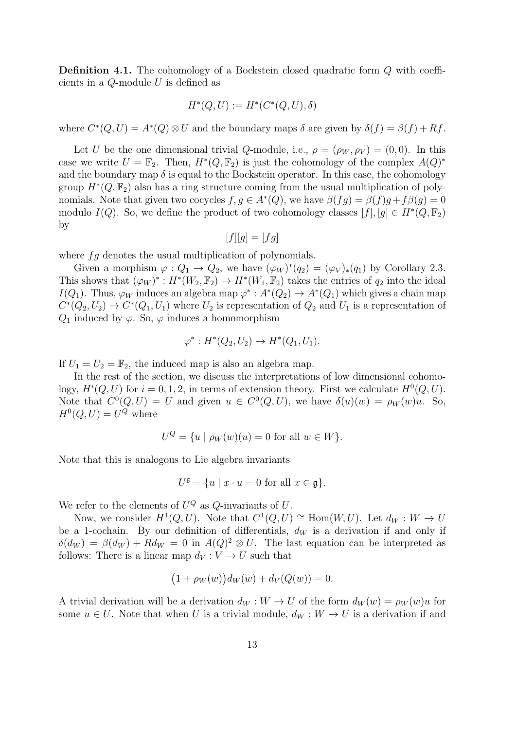Definition 4.1. The cohomology of a Bockstein closed quadratic form Q with coefficients in a  $Q$ -module  $U$  is defined as

$$
H^*(Q, U) := H^*(C^*(Q, U), \delta)
$$

where  $C^*(Q, U) = A^*(Q) \otimes U$  and the boundary maps  $\delta$  are given by  $\delta(f) = \beta(f) + Rf$ .

Let U be the one dimensional trivial Q-module, i.e.,  $\rho = (\rho_W, \rho_V) = (0, 0)$ . In this case we write  $U = \mathbb{F}_2$ . Then,  $H^*(Q, \mathbb{F}_2)$  is just the cohomology of the complex  $A(Q)^*$ and the boundary map  $\delta$  is equal to the Bockstein operator. In this case, the cohomology group  $H^*(Q, \mathbb{F}_2)$  also has a ring structure coming from the usual multiplication of polynomials. Note that given two cocycles  $f, g \in A^*(Q)$ , we have  $\beta(fg) = \beta(f)g + f\beta(g) = 0$ modulo  $I(Q)$ . So, we define the product of two cohomology classes  $[f], [g] \in H^*(Q, \mathbb{F}_2)$ by

$$
[f][g] = [fg]
$$

where  $fg$  denotes the usual multiplication of polynomials.

Given a morphism  $\varphi: Q_1 \to Q_2$ , we have  $(\varphi_W)^*(q_2) = (\varphi_V)_*(q_1)$  by Corollary 2.3. This shows that  $(\varphi_W)^*: H^*(W_2, \mathbb{F}_2) \to H^*(W_1, \mathbb{F}_2)$  takes the entries of  $q_2$  into the ideal  $I(Q_1)$ . Thus,  $\varphi_W$  induces an algebra map  $\varphi^*: A^*(Q_2) \to A^*(Q_1)$  which gives a chain map  $C^*(Q_2, U_2) \to C^*(Q_1, U_1)$  where  $U_2$  is representation of  $Q_2$  and  $U_1$  is a representation of  $Q_1$  induced by  $\varphi$ . So,  $\varphi$  induces a homomorphism

$$
\varphi^* : H^*(Q_2, U_2) \to H^*(Q_1, U_1).
$$

If  $U_1 = U_2 = \mathbb{F}_2$ , the induced map is also an algebra map.

In the rest of the section, we discuss the interpretations of low dimensional cohomology,  $H^{i}(Q, U)$  for  $i = 0, 1, 2$ , in terms of extension theory. First we calculate  $H^{0}(Q, U)$ . Note that  $C^0(Q, U) = U$  and given  $u \in C^0(Q, U)$ , we have  $\delta(u)(w) = \rho_W(w)u$ . So,  $H^0(Q, U) = U^Q$  where

$$
U^{Q} = \{ u \mid \rho_{W}(w)(u) = 0 \text{ for all } w \in W \}.
$$

Note that this is analogous to Lie algebra invariants

$$
U^{\mathfrak{g}} = \{ u \mid x \cdot u = 0 \text{ for all } x \in \mathfrak{g} \}.
$$

We refer to the elements of  $U^Q$  as  $Q$ -invariants of U.

Now, we consider  $H^1(Q, U)$ . Note that  $C^1(Q, U) \cong \text{Hom}(W, U)$ . Let  $d_W : W \to U$ be a 1-cochain. By our definition of differentials,  $d_W$  is a derivation if and only if  $\delta(d_W) = \beta(d_W) + R d_W = 0$  in  $A(Q)^2 \otimes U$ . The last equation can be interpreted as follows: There is a linear map  $d_V: V \to U$  such that

$$
(1 + \rho_W(w))d_W(w) + d_V(Q(w)) = 0.
$$

A trivial derivation will be a derivation  $d_W : W \to U$  of the form  $d_W(w) = \rho_W(w)u$  for some  $u \in U$ . Note that when U is a trivial module,  $d_W : W \to U$  is a derivation if and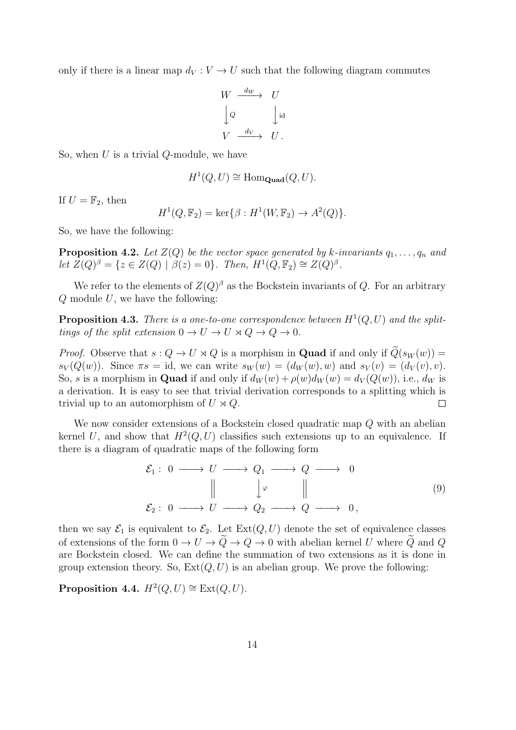only if there is a linear map  $d_V : V \to U$  such that the following diagram commutes

$$
W \xrightarrow{d_W} U
$$
  

$$
\downarrow Q \qquad \qquad \downarrow id
$$
  

$$
V \xrightarrow{d_V} U.
$$

So, when  $U$  is a trivial  $Q$ -module, we have

$$
H^1(Q, U) \cong \text{Hom}_{\text{Quad}}(Q, U).
$$

If  $U = \mathbb{F}_2$ , then

$$
H^{1}(Q, \mathbb{F}_{2}) = \ker \{\beta : H^{1}(W, \mathbb{F}_{2}) \to A^{2}(Q) \}.
$$

So, we have the following:

**Proposition 4.2.** Let  $Z(Q)$  be the vector space generated by k-invariants  $q_1, \ldots, q_n$  and let  $Z(Q)^{\beta} = \{z \in Z(Q) \mid \beta(z) = 0\}.$  Then,  $H^1(Q, \mathbb{F}_2) \cong Z(Q)^{\beta}.$ 

We refer to the elements of  $Z(Q)^{\beta}$  as the Bockstein invariants of Q. For an arbitrary  $Q$  module  $U$ , we have the following:

**Proposition 4.3.** There is a one-to-one correspondence between  $H^1(Q, U)$  and the splittings of the split extension  $0 \to U \to U \rtimes Q \to Q \to 0$ .

*Proof.* Observe that  $s: Q \to U \rtimes Q$  is a morphism in **Quad** if and only if  $\widetilde{Q}(s_W(w)) =$  $s_V(Q(w))$ . Since  $\pi s = \text{id}$ , we can write  $s_W(w) = (d_W(w), w)$  and  $s_V(v) = (d_V(v), v)$ . So, s is a morphism in **Quad** if and only if  $d_W(w) + \rho(w)d_W(w) = d_V(Q(w))$ , i.e.,  $d_W$  is a derivation. It is easy to see that trivial derivation corresponds to a splitting which is trivial up to an automorphism of  $U \rtimes Q$ .  $\Box$ 

We now consider extensions of a Bockstein closed quadratic map Q with an abelian kernel U, and show that  $H^2(Q, U)$  classifies such extensions up to an equivalence. If there is a diagram of quadratic maps of the following form

$$
\mathcal{E}_1: 0 \longrightarrow U \longrightarrow Q_1 \longrightarrow Q \longrightarrow 0
$$
  
\n
$$
\parallel \qquad \downarrow \varphi \qquad \parallel
$$
  
\n
$$
\mathcal{E}_2: 0 \longrightarrow U \longrightarrow Q_2 \longrightarrow Q \longrightarrow 0,
$$
  
\n(9)

then we say  $\mathcal{E}_1$  is equivalent to  $\mathcal{E}_2$ . Let  $\text{Ext}(Q, U)$  denote the set of equivalence classes of extensions of the form  $0 \to U \to \tilde{Q} \to Q \to 0$  with abelian kernel U where  $\tilde{Q}$  and Q are Bockstein closed. We can define the summation of two extensions as it is done in group extension theory. So,  $Ext(Q, U)$  is an abelian group. We prove the following:

Proposition 4.4.  $H^2(Q, U) \cong \text{Ext}(Q, U)$ .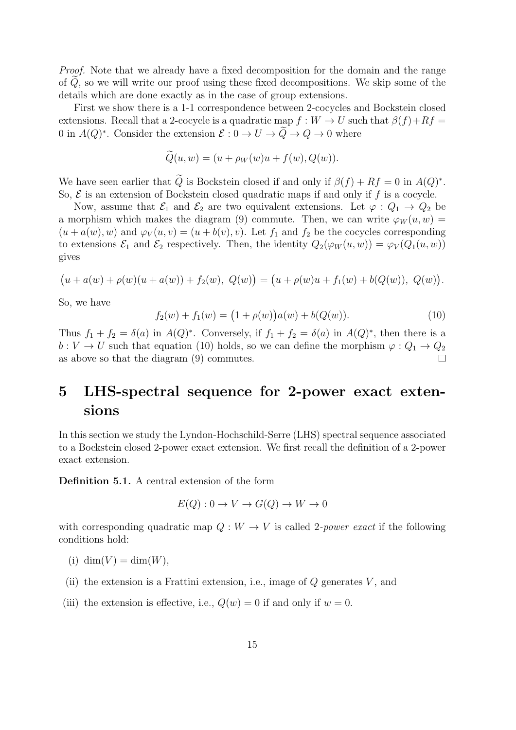Proof. Note that we already have a fixed decomposition for the domain and the range of  $Q$ , so we will write our proof using these fixed decompositions. We skip some of the details which are done exactly as in the case of group extensions.

First we show there is a 1-1 correspondence between 2-cocycles and Bockstein closed extensions. Recall that a 2-cocycle is a quadratic map  $f: W \to U$  such that  $\beta(f) + Rf =$ 0 in  $A(Q)^*$ . Consider the extension  $\mathcal{E}: 0 \to U \to \tilde{Q} \to Q \to 0$  where

$$
Q(u, w) = (u + \rho_W(w)u + f(w), Q(w)).
$$

We have seen earlier that Q is Bockstein closed if and only if  $\beta(f) + Rf = 0$  in  $A(Q)^*$ . So,  $\mathcal E$  is an extension of Bockstein closed quadratic maps if and only if f is a cocycle.

Now, assume that  $\mathcal{E}_1$  and  $\mathcal{E}_2$  are two equivalent extensions. Let  $\varphi: Q_1 \to Q_2$  be a morphism which makes the diagram (9) commute. Then, we can write  $\varphi_W(u, w) =$  $(u + a(w), w)$  and  $\varphi_V(u, v) = (u + b(v), v)$ . Let  $f_1$  and  $f_2$  be the cocycles corresponding to extensions  $\mathcal{E}_1$  and  $\mathcal{E}_2$  respectively. Then, the identity  $Q_2(\varphi_W(u, w)) = \varphi_V(Q_1(u, w))$ gives

$$
(u + a(w) + \rho(w)(u + a(w)) + f_2(w), Q(w)) = (u + \rho(w)u + f_1(w) + b(Q(w)), Q(w)).
$$

So, we have

$$
f_2(w) + f_1(w) = (1 + \rho(w))a(w) + b(Q(w)).
$$
\n(10)

Thus  $f_1 + f_2 = \delta(a)$  in  $A(Q)^*$ . Conversely, if  $f_1 + f_2 = \delta(a)$  in  $A(Q)^*$ , then there is a  $b: V \to U$  such that equation (10) holds, so we can define the morphism  $\varphi: Q_1 \to Q_2$ as above so that the diagram (9) commutes.

# 5 LHS-spectral sequence for 2-power exact extensions

In this section we study the Lyndon-Hochschild-Serre (LHS) spectral sequence associated to a Bockstein closed 2-power exact extension. We first recall the definition of a 2-power exact extension.

Definition 5.1. A central extension of the form

$$
E(Q): 0 \to V \to G(Q) \to W \to 0
$$

with corresponding quadratic map  $Q: W \to V$  is called 2-*power exact* if the following conditions hold:

- (i) dim(V) = dim(W),
- (ii) the extension is a Frattini extension, i.e., image of  $Q$  generates  $V$ , and
- (iii) the extension is effective, i.e.,  $Q(w) = 0$  if and only if  $w = 0$ .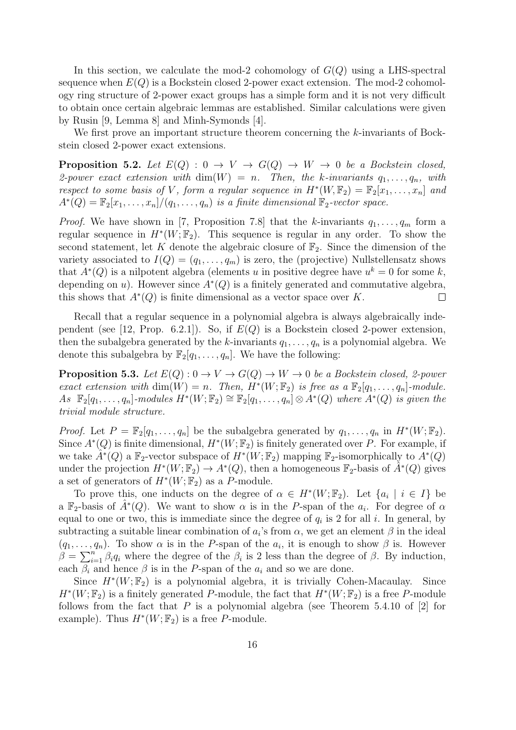In this section, we calculate the mod-2 cohomology of  $G(Q)$  using a LHS-spectral sequence when  $E(Q)$  is a Bockstein closed 2-power exact extension. The mod-2 cohomology ring structure of 2-power exact groups has a simple form and it is not very difficult to obtain once certain algebraic lemmas are established. Similar calculations were given by Rusin [9, Lemma 8] and Minh-Symonds [4].

We first prove an important structure theorem concerning the k-invariants of Bockstein closed 2-power exact extensions.

**Proposition 5.2.** Let  $E(Q)$  :  $0 \rightarrow V \rightarrow G(Q) \rightarrow W \rightarrow 0$  be a Bockstein closed, 2-power exact extension with  $\dim(W) = n$ . Then, the k-invariants  $q_1, \ldots, q_n$ , with respect to some basis of V, form a regular sequence in  $H^*(W, \mathbb{F}_2) = \mathbb{F}_2[x_1, \ldots, x_n]$  and  $A^*(Q) = \mathbb{F}_2[x_1, \ldots, x_n]/(q_1, \ldots, q_n)$  is a finite dimensional  $\mathbb{F}_2$ -vector space.

*Proof.* We have shown in [7, Proposition 7.8] that the k-invariants  $q_1, \ldots, q_m$  form a regular sequence in  $H^*(W; \mathbb{F}_2)$ . This sequence is regular in any order. To show the second statement, let K denote the algebraic closure of  $\mathbb{F}_2$ . Since the dimension of the variety associated to  $I(Q) = (q_1, \ldots, q_m)$  is zero, the (projective) Nullstellensatz shows that  $A^*(Q)$  is a nilpotent algebra (elements u in positive degree have  $u^k = 0$  for some k, depending on u). However since  $A^*(Q)$  is a finitely generated and commutative algebra, this shows that  $A^*(Q)$  is finite dimensional as a vector space over K.  $\Box$ 

Recall that a regular sequence in a polynomial algebra is always algebraically independent (see [12, Prop. 6.2.1]). So, if  $E(Q)$  is a Bockstein closed 2-power extension, then the subalgebra generated by the k-invariants  $q_1, \ldots, q_n$  is a polynomial algebra. We denote this subalgebra by  $\mathbb{F}_2[q_1,\ldots,q_n]$ . We have the following:

**Proposition 5.3.** Let  $E(Q): 0 \to V \to G(Q) \to W \to 0$  be a Bockstein closed, 2-power exact extension with  $\dim(W) = n$ . Then,  $H^*(W; \mathbb{F}_2)$  is free as a  $\mathbb{F}_2[q_1, \ldots, q_n]$ -module.  $As \mathbb{F}_2[q_1,\ldots,q_n]$ -modules  $H^*(W;\mathbb{F}_2) \cong \mathbb{F}_2[q_1,\ldots,q_n] \otimes A^*(Q)$  where  $A^*(Q)$  is given the trivial module structure.

*Proof.* Let  $P = \mathbb{F}_2[q_1, \ldots, q_n]$  be the subalgebra generated by  $q_1, \ldots, q_n$  in  $H^*(W; \mathbb{F}_2)$ . Since  $A^*(Q)$  is finite dimensional,  $H^*(W; \mathbb{F}_2)$  is finitely generated over P. For example, if we take  $\hat{A}^*(Q)$  a  $\mathbb{F}_2$ -vector subspace of  $H^*(W;\mathbb{F}_2)$  mapping  $\mathbb{F}_2$ -isomorphically to  $A^*(Q)$ under the projection  $H^*(W; \mathbb{F}_2) \to A^*(Q)$ , then a homogeneous  $\mathbb{F}_2$ -basis of  $\hat{A}^*(Q)$  gives a set of generators of  $H^*(W; \mathbb{F}_2)$  as a P-module.

To prove this, one inducts on the degree of  $\alpha \in H^*(W; \mathbb{F}_2)$ . Let  $\{a_i \mid i \in I\}$  be a  $\mathbb{F}_2$ -basis of  $\hat{A}^*(Q)$ . We want to show  $\alpha$  is in the P-span of the  $a_i$ . For degree of  $\alpha$ equal to one or two, this is immediate since the degree of  $q_i$  is 2 for all i. In general, by subtracting a suitable linear combination of  $a_i$ 's from  $\alpha$ , we get an element  $\beta$  in the ideal  $(q_1, \ldots, q_n)$ . To show  $\alpha$  is in the P-span of the  $a_i$ , it is enough to show  $\beta$  is. However  $\beta = \sum_{i=1}^n \beta_i q_i$  where the degree of the  $\beta_i$  is 2 less than the degree of  $\beta$ . By induction, each  $\beta_i$  and hence  $\beta$  is in the P-span of the  $a_i$  and so we are done.

Since  $H^*(W; \mathbb{F}_2)$  is a polynomial algebra, it is trivially Cohen-Macaulay. Since  $H^*(W;\mathbb{F}_2)$  is a finitely generated P-module, the fact that  $H^*(W;\mathbb{F}_2)$  is a free P-module follows from the fact that P is a polynomial algebra (see Theorem 5.4.10 of  $[2]$  for example). Thus  $H^*(W; \mathbb{F}_2)$  is a free P-module.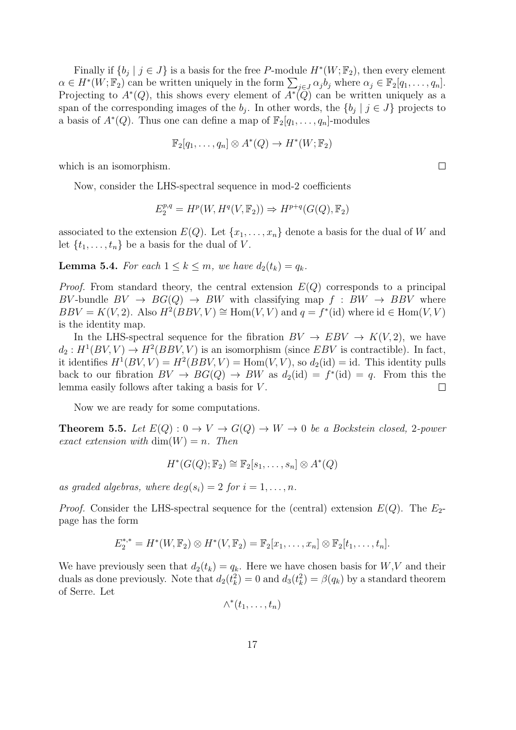Finally if  $\{b_j \mid j \in J\}$  is a basis for the free P-module  $H^*(W; \mathbb{F}_2)$ , then every element  $\alpha \in H^*(W; \mathbb{F}_2)$  can be written uniquely in the form  $\sum_{j \in J} \alpha_j b_j$  where  $\alpha_j \in \mathbb{F}_2[q_1, \ldots, q_n].$ Projecting to  $A^*(Q)$ , this shows every element of  $A^*(\overline{Q})$  can be written uniquely as a span of the corresponding images of the  $b_j$ . In other words, the  $\{b_j \mid j \in J\}$  projects to a basis of  $A^*(Q)$ . Thus one can define a map of  $\mathbb{F}_2[q_1,\ldots,q_n]$ -modules

$$
\mathbb{F}_2[q_1,\ldots,q_n]\otimes A^*(Q)\to H^*(W;\mathbb{F}_2)
$$

which is an isomorphism.

Now, consider the LHS-spectral sequence in mod-2 coefficients

$$
E_2^{p,q} = H^p(W, H^q(V, \mathbb{F}_2)) \Rightarrow H^{p+q}(G(Q), \mathbb{F}_2)
$$

associated to the extension  $E(Q)$ . Let  $\{x_1, \ldots, x_n\}$  denote a basis for the dual of W and let  $\{t_1, \ldots, t_n\}$  be a basis for the dual of V.

**Lemma 5.4.** For each  $1 \leq k \leq m$ , we have  $d_2(t_k) = q_k$ .

*Proof.* From standard theory, the central extension  $E(Q)$  corresponds to a principal BV-bundle  $BV \to BG(Q) \to BW$  with classifying map  $f : BW \to BBV$  where  $BBV = K(V, 2)$ . Also  $H^2(BBV, V) \cong \text{Hom}(V, V)$  and  $q = f^*(\text{id})$  where  $\text{id} \in \text{Hom}(V, V)$ is the identity map.

In the LHS-spectral sequence for the fibration  $BV \to EBV \to K(V, 2)$ , we have  $d_2: H^1(BV, V) \to H^2(BBV, V)$  is an isomorphism (since EBV is contractible). In fact, it identifies  $H^1(BV, V) = H^2(BBV, V) = \text{Hom}(V, V)$ , so  $d_2(\text{id}) = \text{id}$ . This identity pulls back to our fibration  $BV \to BG(Q) \to BW$  as  $d_2(\text{id}) = f^*(\text{id}) = q$ . From this the lemma easily follows after taking a basis for V .  $\Box$ 

Now we are ready for some computations.

**Theorem 5.5.** Let  $E(Q): 0 \to V \to G(Q) \to W \to 0$  be a Bockstein closed, 2-power exact extension with  $\dim(W) = n$ . Then

$$
H^*(G(Q); \mathbb{F}_2) \cong \mathbb{F}_2[s_1, \ldots, s_n] \otimes A^*(Q)
$$

as graded algebras, where  $deg(s_i) = 2$  for  $i = 1, \ldots, n$ .

*Proof.* Consider the LHS-spectral sequence for the (central) extension  $E(Q)$ . The  $E_2$ page has the form

$$
E_2^{*,*} = H^*(W,\mathbb{F}_2) \otimes H^*(V,\mathbb{F}_2) = \mathbb{F}_2[x_1,\ldots,x_n] \otimes \mathbb{F}_2[t_1,\ldots,t_n].
$$

We have previously seen that  $d_2(t_k) = q_k$ . Here we have chosen basis for  $W, V$  and their duals as done previously. Note that  $d_2(t_k^2) = 0$  and  $d_3(t_k^2) = \beta(q_k)$  by a standard theorem of Serre. Let

$$
\wedge^*(t_1,\ldots,t_n)
$$

 $\Box$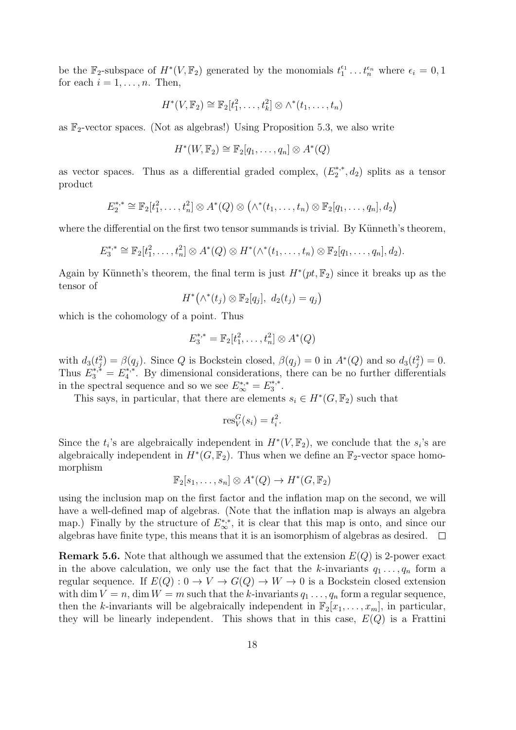be the  $\mathbb{F}_2$ -subspace of  $H^*(V, \mathbb{F}_2)$  generated by the monomials  $t_1^{\epsilon_1} \dots t_n^{\epsilon_n}$  where  $\epsilon_i = 0, 1$ for each  $i = 1, \ldots, n$ . Then,

$$
H^*(V, \mathbb{F}_2) \cong \mathbb{F}_2[t_1^2, \ldots, t_k^2] \otimes \wedge^*(t_1, \ldots, t_n)
$$

as  $\mathbb{F}_2$ -vector spaces. (Not as algebras!) Using Proposition 5.3, we also write

$$
H^*(W, \mathbb{F}_2) \cong \mathbb{F}_2[q_1, \ldots, q_n] \otimes A^*(Q)
$$

as vector spaces. Thus as a differential graded complex,  $(E_2^{*,*})$  $a_2^{*,*}, d_2$ ) splits as a tensor product

$$
E_2^{*,*} \cong \mathbb{F}_2[t_1^2,\ldots,t_n^2] \otimes A^*(Q) \otimes (\wedge^*(t_1,\ldots,t_n) \otimes \mathbb{F}_2[q_1,\ldots,q_n],d_2)
$$

where the differential on the first two tensor summands is trivial. By Künneth's theorem,

$$
E_3^{*,*} \cong \mathbb{F}_2[t_1^2,\ldots,t_n^2] \otimes A^*(Q) \otimes H^*(\wedge^*(t_1,\ldots,t_n) \otimes \mathbb{F}_2[q_1,\ldots,q_n],d_2).
$$

Again by Künneth's theorem, the final term is just  $H^*(pt, \mathbb{F}_2)$  since it breaks up as the tensor of

$$
H^*(\wedge^*(t_j)\otimes \mathbb{F}_2[q_j], d_2(t_j)=q_j)
$$

which is the cohomology of a point. Thus

$$
E_3^{*,*} = \mathbb{F}_2[t_1^2, \dots, t_n^2] \otimes A^*(Q)
$$

with  $d_3(t_j^2) = \beta(q_j)$ . Since Q is Bockstein closed,  $\beta(q_j) = 0$  in  $A^*(Q)$  and so  $d_3(t_j^2) = 0$ . Thus  $E_3^{*,*} = E_4^{*,*}$  $4^*$ . By dimensional considerations, there can be no further differentials in the spectral sequence and so we see  $E_{\infty}^{*,*} = E_{3}^{*,*}$  $\overset{**}{3}$  .

This says, in particular, that there are elements  $s_i \in H^*(G, \mathbb{F}_2)$  such that

$$
\operatorname{res}_V^G(s_i) = t_i^2.
$$

Since the  $t_i$ 's are algebraically independent in  $H^*(V, \mathbb{F}_2)$ , we conclude that the  $s_i$ 's are algebraically independent in  $H^*(G, \mathbb{F}_2)$ . Thus when we define an  $\mathbb{F}_2$ -vector space homomorphism

$$
\mathbb{F}_2[s_1,\ldots,s_n]\otimes A^*(Q)\to H^*(G,\mathbb{F}_2)
$$

using the inclusion map on the first factor and the inflation map on the second, we will have a well-defined map of algebras. (Note that the inflation map is always an algebra map.) Finally by the structure of  $E_{\infty}^{*,*}$ , it is clear that this map is onto, and since our algebras have finite type, this means that it is an isomorphism of algebras as desired.  $\Box$ 

**Remark 5.6.** Note that although we assumed that the extension  $E(Q)$  is 2-power exact in the above calculation, we only use the fact that the k-invariants  $q_1 \ldots, q_n$  form a regular sequence. If  $E(Q): 0 \to V \to G(Q) \to W \to 0$  is a Bockstein closed extension with dim  $V = n$ , dim  $W = m$  such that the k-invariants  $q_1 \ldots, q_n$  form a regular sequence, then the k-invariants will be algebraically independent in  $\mathbb{F}_2[x_1, \ldots, x_m]$ , in particular, they will be linearly independent. This shows that in this case,  $E(Q)$  is a Frattini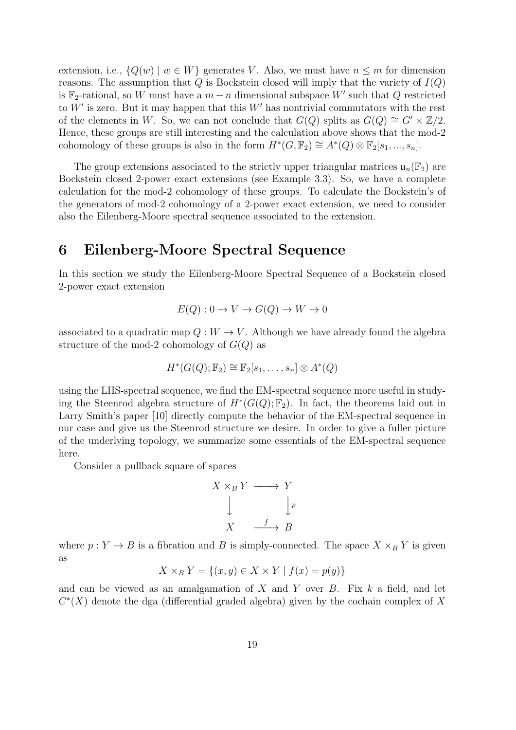extension, i.e.,  ${Q(w) | w \in W}$  generates V. Also, we must have  $n \leq m$  for dimension reasons. The assumption that  $Q$  is Bockstein closed will imply that the variety of  $I(Q)$ is  $\mathbb{F}_2$ -rational, so W must have a  $m - n$  dimensional subspace W' such that Q restricted to  $W'$  is zero. But it may happen that this  $W'$  has nontrivial commutators with the rest of the elements in W. So, we can not conclude that  $G(Q)$  splits as  $G(Q) \cong G' \times \mathbb{Z}/2$ . Hence, these groups are still interesting and the calculation above shows that the mod-2 cohomology of these groups is also in the form  $H^*(G, \mathbb{F}_2) \cong A^*(Q) \otimes \mathbb{F}_2[s_1, ..., s_n].$ 

The group extensions associated to the strictly upper triangular matrices  $\mathfrak{u}_n(\mathbb{F}_2)$  are Bockstein closed 2-power exact extensions (see Example 3.3). So, we have a complete calculation for the mod-2 cohomology of these groups. To calculate the Bockstein's of the generators of mod-2 cohomology of a 2-power exact extension, we need to consider also the Eilenberg-Moore spectral sequence associated to the extension.

### 6 Eilenberg-Moore Spectral Sequence

In this section we study the Eilenberg-Moore Spectral Sequence of a Bockstein closed 2-power exact extension

$$
E(Q): 0 \to V \to G(Q) \to W \to 0
$$

associated to a quadratic map  $Q: W \to V$ . Although we have already found the algebra structure of the mod-2 cohomology of  $G(Q)$  as

$$
H^*(G(Q); \mathbb{F}_2) \cong \mathbb{F}_2[s_1, \ldots, s_n] \otimes A^*(Q)
$$

using the LHS-spectral sequence, we find the EM-spectral sequence more useful in studying the Steenrod algebra structure of  $H^*(G(Q); \mathbb{F}_2)$ . In fact, the theorems laid out in Larry Smith's paper [10] directly compute the behavior of the EM-spectral sequence in our case and give us the Steenrod structure we desire. In order to give a fuller picture of the underlying topology, we summarize some essentials of the EM-spectral sequence here.

Consider a pullback square of spaces

$$
X \times_B Y \longrightarrow Y
$$
  

$$
\downarrow \qquad \qquad \downarrow p
$$
  

$$
X \longrightarrow B
$$

where  $p: Y \to B$  is a fibration and B is simply-connected. The space  $X \times_B Y$  is given as

$$
X \times_B Y = \{(x, y) \in X \times Y \mid f(x) = p(y)\}
$$

and can be viewed as an amalgamation of X and Y over  $B$ . Fix  $k$  a field, and let  $C<sup>*</sup>(X)$  denote the dga (differential graded algebra) given by the cochain complex of X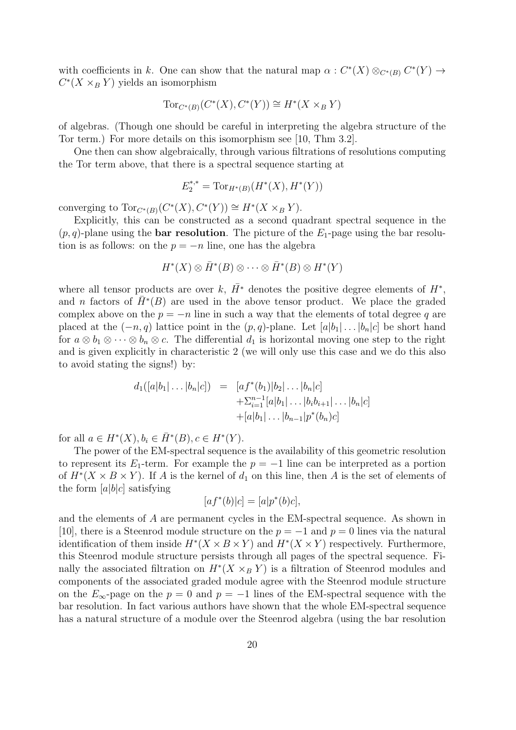with coefficients in k. One can show that the natural map  $\alpha: C^*(X) \otimes_{C^*(B)} C^*(Y) \to$  $C^*(X \times_B Y)$  yields an isomorphism

$$
Tor_{C^*(B)}(C^*(X), C^*(Y)) \cong H^*(X \times_B Y)
$$

of algebras. (Though one should be careful in interpreting the algebra structure of the Tor term.) For more details on this isomorphism see [10, Thm 3.2].

One then can show algebraically, through various filtrations of resolutions computing the Tor term above, that there is a spectral sequence starting at

$$
E_2^{*,*} = \text{Tor}_{H^*(B)}(H^*(X), H^*(Y))
$$

converging to  $Tor_{C^*(B)}(C^*(X), C^*(Y)) \cong H^*(X \times_B Y)$ .

Explicitly, this can be constructed as a second quadrant spectral sequence in the  $(p, q)$ -plane using the **bar resolution**. The picture of the  $E_1$ -page using the bar resolution is as follows: on the  $p = -n$  line, one has the algebra

$$
H^*(X) \otimes \overline{H}^*(B) \otimes \cdots \otimes \overline{H}^*(B) \otimes H^*(Y)
$$

where all tensor products are over k,  $\bar{H}^*$  denotes the positive degree elements of  $H^*$ , and *n* factors of  $\bar{H}^*(B)$  are used in the above tensor product. We place the graded complex above on the  $p = -n$  line in such a way that the elements of total degree q are placed at the  $(-n, q)$  lattice point in the  $(p, q)$ -plane. Let  $[a|b_1| \dots |b_n|c]$  be short hand for  $a \otimes b_1 \otimes \cdots \otimes b_n \otimes c$ . The differential  $d_1$  is horizontal moving one step to the right and is given explicitly in characteristic 2 (we will only use this case and we do this also to avoid stating the signs!) by:

$$
d_1([a|b_1|\dots|b_n|c]) = [af^*(b_1)|b_2|\dots|b_n|c] + \sum_{i=1}^{n-1} [a|b_1|\dots|b_ib_{i+1}|\dots|b_n|c] + [a|b_1|\dots|b_{n-1}|p^*(b_n)c]
$$

for all  $a \in H^*(X), b_i \in \bar{H}^*(B), c \in H^*(Y)$ .

The power of the EM-spectral sequence is the availability of this geometric resolution to represent its  $E_1$ -term. For example the  $p = -1$  line can be interpreted as a portion of  $H^*(X \times B \times Y)$ . If A is the kernel of  $d_1$  on this line, then A is the set of elements of the form  $[a|b|c]$  satisfying

$$
[af^*(b)|c] = [a|p^*(b)c],
$$

and the elements of A are permanent cycles in the EM-spectral sequence. As shown in [10], there is a Steenrod module structure on the  $p = -1$  and  $p = 0$  lines via the natural identification of them inside  $H^*(X \times B \times Y)$  and  $H^*(X \times Y)$  respectively. Furthermore, this Steenrod module structure persists through all pages of the spectral sequence. Finally the associated filtration on  $H^*(X \times_B Y)$  is a filtration of Steenrod modules and components of the associated graded module agree with the Steenrod module structure on the  $E_{\infty}$ -page on the  $p = 0$  and  $p = -1$  lines of the EM-spectral sequence with the bar resolution. In fact various authors have shown that the whole EM-spectral sequence has a natural structure of a module over the Steenrod algebra (using the bar resolution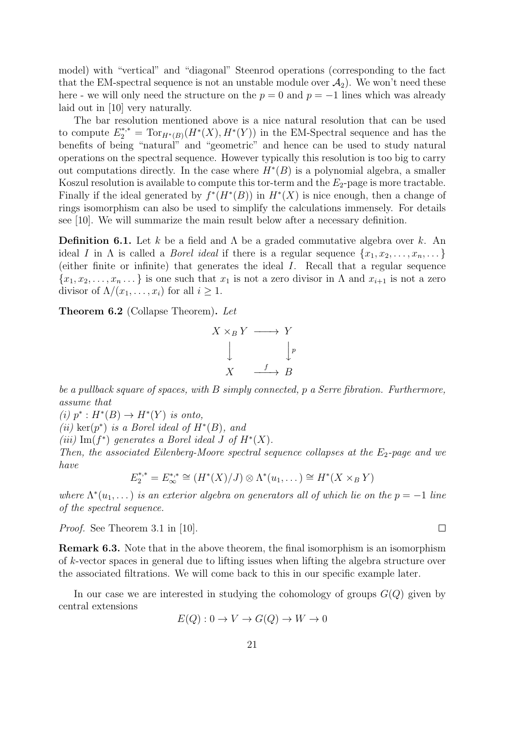model) with "vertical" and "diagonal" Steenrod operations (corresponding to the fact that the EM-spectral sequence is not an unstable module over  $\mathcal{A}_2$ ). We won't need these here - we will only need the structure on the  $p = 0$  and  $p = -1$  lines which was already laid out in [10] very naturally.

The bar resolution mentioned above is a nice natural resolution that can be used to compute  $E_2^{*,*} = \text{Tor}_{H^*(B)}(H^*(X), H^*(Y))$  in the EM-Spectral sequence and has the benefits of being "natural" and "geometric" and hence can be used to study natural operations on the spectral sequence. However typically this resolution is too big to carry out computations directly. In the case where  $H^*(B)$  is a polynomial algebra, a smaller Koszul resolution is available to compute this tor-term and the  $E_2$ -page is more tractable. Finally if the ideal generated by  $f^*(H^*(B))$  in  $H^*(X)$  is nice enough, then a change of rings isomorphism can also be used to simplify the calculations immensely. For details see [10]. We will summarize the main result below after a necessary definition.

**Definition 6.1.** Let k be a field and  $\Lambda$  be a graded commutative algebra over k. An ideal I in  $\Lambda$  is called a *Borel ideal* if there is a regular sequence  $\{x_1, x_2, \ldots, x_n, \ldots\}$ (either finite or infinite) that generates the ideal I. Recall that a regular sequence  ${x_1, x_2, \ldots, x_n \ldots}$  is one such that  $x_1$  is not a zero divisor in  $\Lambda$  and  $x_{i+1}$  is not a zero divisor of  $\Lambda/(x_1,\ldots,x_i)$  for all  $i\geq 1$ .

Theorem 6.2 (Collapse Theorem). Let



be a pullback square of spaces, with B simply connected, p a Serre fibration. Furthermore, assume that

(i)  $p^*: H^*(B) \to H^*(Y)$  is onto,

(ii) ker $(p^*)$  is a Borel ideal of  $H^*(B)$ , and

(iii) Im( $f^*$ ) generates a Borel ideal J of  $H^*(X)$ .

Then, the associated Eilenberg-Moore spectral sequence collapses at the  $E_2$ -page and we have

$$
E_2^{*,*} = E_{\infty}^{*,*} \cong (H^*(X)/J) \otimes \Lambda^*(u_1, \dots) \cong H^*(X \times_B Y)
$$

where  $\Lambda^*(u_1, \ldots)$  is an exterior algebra on generators all of which lie on the  $p = -1$  line of the spectral sequence.

Proof. See Theorem 3.1 in [10].

Remark 6.3. Note that in the above theorem, the final isomorphism is an isomorphism of k-vector spaces in general due to lifting issues when lifting the algebra structure over the associated filtrations. We will come back to this in our specific example later.

In our case we are interested in studying the cohomology of groups  $G(Q)$  given by central extensions

$$
E(Q): 0 \to V \to G(Q) \to W \to 0
$$

 $\Box$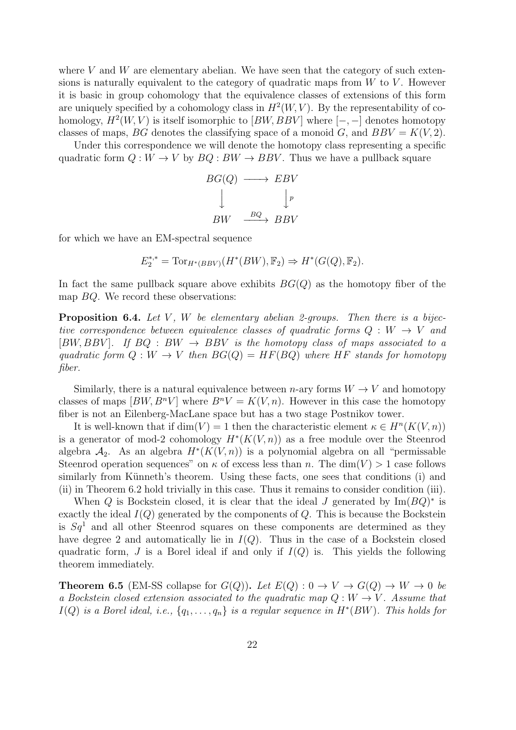where  $V$  and  $W$  are elementary abelian. We have seen that the category of such extensions is naturally equivalent to the category of quadratic maps from  $W$  to  $V$ . However it is basic in group cohomology that the equivalence classes of extensions of this form are uniquely specified by a cohomology class in  $H^2(W, V)$ . By the representability of cohomology,  $H^2(W, V)$  is itself isomorphic to  $[BW, BBV]$  where  $[-, -]$  denotes homotopy classes of maps, BG denotes the classifying space of a monoid G, and  $BBV = K(V, 2)$ .

Under this correspondence we will denote the homotopy class representing a specific quadratic form  $Q: W \to V$  by  $BQ: BW \to BBV$ . Thus we have a pullback square

$$
BG(Q) \longrightarrow EBV
$$
  
\n
$$
\downarrow \qquad \qquad \downarrow p
$$
  
\n
$$
BW \xrightarrow{BQ} BBV
$$

for which we have an EM-spectral sequence

$$
E_2^{*,*} = \text{Tor}_{H^*(BBV)}(H^*(BW), \mathbb{F}_2) \Rightarrow H^*(G(Q), \mathbb{F}_2).
$$

In fact the same pullback square above exhibits  $BG(Q)$  as the homotopy fiber of the map BQ. We record these observations:

**Proposition 6.4.** Let V, W be elementary abelian 2-groups. Then there is a bijective correspondence between equivalence classes of quadratic forms  $Q : W \rightarrow V$  and  $[BW, BBV]$ . If  $BQ : BW \rightarrow BBV$  is the homotopy class of maps associated to a quadratic form  $Q: W \to V$  then  $BG(Q) = HF(BQ)$  where HF stands for homotopy fiber.

Similarly, there is a natural equivalence between n-ary forms  $W \to V$  and homotopy classes of maps  $[BW, B^n V]$  where  $B^n V = K(V, n)$ . However in this case the homotopy fiber is not an Eilenberg-MacLane space but has a two stage Postnikov tower.

It is well-known that if  $\dim(V) = 1$  then the characteristic element  $\kappa \in H^{n}(K(V, n))$ is a generator of mod-2 cohomology  $H^*(K(V,n))$  as a free module over the Steenrod algebra  $\mathcal{A}_2$ . As an algebra  $H^*(K(V,n))$  is a polynomial algebra on all "permissable Steenrod operation sequences" on  $\kappa$  of excess less than n. The dim(V) > 1 case follows similarly from Künneth's theorem. Using these facts, one sees that conditions (i) and (ii) in Theorem 6.2 hold trivially in this case. Thus it remains to consider condition (iii).

When Q is Bockstein closed, it is clear that the ideal J generated by  $\text{Im}(BQ)^*$  is exactly the ideal  $I(Q)$  generated by the components of  $Q$ . This is because the Bockstein is  $Sq<sup>1</sup>$  and all other Steenrod squares on these components are determined as they have degree 2 and automatically lie in  $I(Q)$ . Thus in the case of a Bockstein closed quadratic form, J is a Borel ideal if and only if  $I(Q)$  is. This yields the following theorem immediately.

**Theorem 6.5** (EM-SS collapse for  $G(Q)$ ). Let  $E(Q) : 0 \to V \to G(Q) \to W \to 0$  be a Bockstein closed extension associated to the quadratic map  $Q: W \to V$ . Assume that  $I(Q)$  is a Borel ideal, i.e.,  $\{q_1, \ldots, q_n\}$  is a regular sequence in  $H^*(BW)$ . This holds for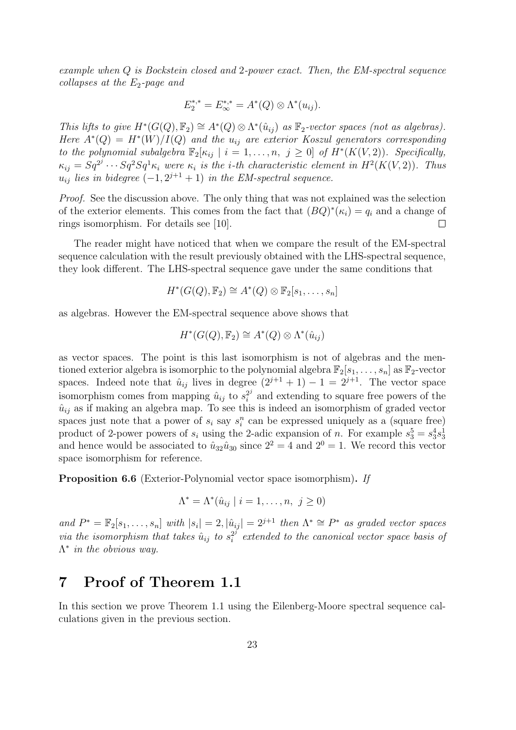example when Q is Bockstein closed and 2-power exact. Then, the EM-spectral sequence collapses at the  $E_2$ -page and

$$
E_2^{*,*} = E_{\infty}^{*,*} = A^*(Q) \otimes \Lambda^*(u_{ij}).
$$

This lifts to give  $H^*(G(Q), \mathbb{F}_2) \cong A^*(Q) \otimes \Lambda^*(\hat{u}_{ij})$  as  $\mathbb{F}_2$ -vector spaces (not as algebras). Here  $A^*(Q) = H^*(W)/I(Q)$  and the  $u_{ij}$  are exterior Koszul generators corresponding to the polynomial subalgebra  $\mathbb{F}_2[\kappa_{ij} \mid i = 1, \ldots, n, j \geq 0]$  of  $H^*(K(V, 2))$ . Specifically,  $\kappa_{ij} = Sq^{2^j} \cdots Sq^2Sq^1 \kappa_i$  were  $\kappa_i$  is the *i*-th characteristic element in  $H^2(K(V, 2))$ . Thus  $u_{ij}$  lies in bidegree  $(-1, 2^{j+1} + 1)$  in the EM-spectral sequence.

Proof. See the discussion above. The only thing that was not explained was the selection of the exterior elements. This comes from the fact that  $(BQ)^*(\kappa_i) = q_i$  and a change of rings isomorphism. For details see [10].  $\Box$ 

The reader might have noticed that when we compare the result of the EM-spectral sequence calculation with the result previously obtained with the LHS-spectral sequence, they look different. The LHS-spectral sequence gave under the same conditions that

$$
H^*(G(Q), \mathbb{F}_2) \cong A^*(Q) \otimes \mathbb{F}_2[s_1, \ldots, s_n]
$$

as algebras. However the EM-spectral sequence above shows that

$$
H^*(G(Q), \mathbb{F}_2) \cong A^*(Q) \otimes \Lambda^*(\hat{u}_{ij})
$$

as vector spaces. The point is this last isomorphism is not of algebras and the mentioned exterior algebra is isomorphic to the polynomial algebra  $\mathbb{F}_2[s_1, \ldots, s_n]$  as  $\mathbb{F}_2$ -vector spaces. Indeed note that  $\hat{u}_{ij}$  lives in degree  $(2^{j+1} + 1) - 1 = 2^{j+1}$ . The vector space isomorphism comes from mapping  $\hat{u}_{ij}$  to  $s_i^{2i}$  $i^{2j}$  and extending to square free powers of the  $\hat{u}_{ij}$  as if making an algebra map. To see this is indeed an isomorphism of graded vector spaces just note that a power of  $s_i$  say  $s_i^n$  can be expressed uniquely as a (square free) product of 2-power powers of  $s_i$  using the 2-adic expansion of n. For example  $s_3^5 = s_3^4 s_3^1$ and hence would be associated to  $\hat{u}_{32}\hat{u}_{30}$  since  $2^2 = 4$  and  $2^0 = 1$ . We record this vector space isomorphism for reference.

Proposition 6.6 (Exterior-Polynomial vector space isomorphism). If

$$
\Lambda^* = \Lambda^*(\hat{u}_{ij} \mid i = 1, \dots, n, \ j \ge 0)
$$

and  $P^* = \mathbb{F}_2[s_1,\ldots,s_n]$  with  $|s_i| = 2$ ,  $|\hat{u}_{ij}| = 2^{j+1}$  then  $\Lambda^* \cong P^*$  as graded vector spaces via the isomorphism that takes  $\hat{u}_{ij}$  to  $s_i^{2^j}$  $i<sup>2<sup>j</sup></sup>$  extended to the canonical vector space basis of  $Λ<sup>*</sup>$  in the obvious way.

# 7 Proof of Theorem 1.1

In this section we prove Theorem 1.1 using the Eilenberg-Moore spectral sequence calculations given in the previous section.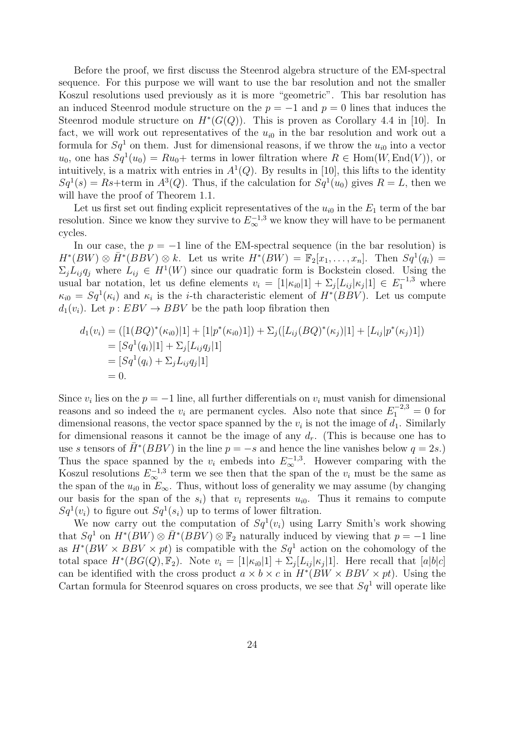Before the proof, we first discuss the Steenrod algebra structure of the EM-spectral sequence. For this purpose we will want to use the bar resolution and not the smaller Koszul resolutions used previously as it is more "geometric". This bar resolution has an induced Steenrod module structure on the  $p = -1$  and  $p = 0$  lines that induces the Steenrod module structure on  $H^*(G(Q))$ . This is proven as Corollary 4.4 in [10]. In fact, we will work out representatives of the  $u_{i0}$  in the bar resolution and work out a formula for  $Sq^1$  on them. Just for dimensional reasons, if we throw the  $u_{i0}$  into a vector  $u_0$ , one has  $Sq^1(u_0) = Ru_0 +$  terms in lower filtration where  $R \in Hom(W, End(V))$ , or intuitively, is a matrix with entries in  $A<sup>1</sup>(Q)$ . By results in [10], this lifts to the identity  $Sq^{1}(s) = Rs + \text{term in } A^{3}(Q)$ . Thus, if the calculation for  $Sq^{1}(u_{0})$  gives  $R = L$ , then we will have the proof of Theorem 1.1.

Let us first set out finding explicit representatives of the  $u_{i0}$  in the  $E_1$  term of the bar resolution. Since we know they survive to  $E_{\infty}^{-1,3}$  we know they will have to be permanent cycles.

In our case, the  $p = -1$  line of the EM-spectral sequence (in the bar resolution) is  $H^*(BW) \otimes \overline{H}^*(BBV) \otimes k$ . Let us write  $H^*(BW) = \mathbb{F}_2[x_1, \ldots, x_n]$ . Then  $Sq^1(q_i) =$  $\Sigma_j L_{ij} q_j$  where  $L_{ij} \in H^1(W)$  since our quadratic form is Bockstein closed. Using the usual bar notation, let us define elements  $v_i = [1|\kappa_{i0}|1] + \sum_j [L_{ij}|\kappa_j|1] \in E_1^{-1,3}$  where  $\kappa_{i0} = Sq^{1}(\kappa_{i})$  and  $\kappa_{i}$  is the *i*-th characteristic element of  $H^{*}(BBV)$ . Let us compute  $d_1(v_i)$ . Let  $p: EBV \to BBV$  be the path loop fibration then

$$
d_1(v_i) = ([1(BQ)^*(\kappa_{i0})|1] + [1|p^*(\kappa_{i0})1]) + \Sigma_j([L_{ij}(BQ)^*(\kappa_j)|1] + [L_{ij}|p^*(\kappa_j)1])
$$
  
=  $[Sq^1(q_i)|1] + \Sigma_j[L_{ij}q_j|1]$   
=  $[Sq^1(q_i) + \Sigma_jL_{ij}q_j|1]$   
= 0.

Since  $v_i$  lies on the  $p = -1$  line, all further differentials on  $v_i$  must vanish for dimensional reasons and so indeed the  $v_i$  are permanent cycles. Also note that since  $E_1^{-2,3} = 0$  for dimensional reasons, the vector space spanned by the  $v_i$  is not the image of  $d_1$ . Similarly for dimensional reasons it cannot be the image of any  $d_r$ . (This is because one has to use s tensors of  $\bar{H}^*(BBV)$  in the line  $p = -s$  and hence the line vanishes below  $q = 2s$ .) Thus the space spanned by the  $v_i$  embeds into  $E_{\infty}^{-1,3}$ . However comparing with the Koszul resolutions  $E_{\infty}^{-1,3}$  term we see then that the span of the  $v_i$  must be the same as the span of the  $u_{i0}$  in  $E_{\infty}$ . Thus, without loss of generality we may assume (by changing our basis for the span of the  $s_i$ ) that  $v_i$  represents  $u_{i0}$ . Thus it remains to compute  $Sq^1(v_i)$  to figure out  $Sq^1(s_i)$  up to terms of lower filtration.

We now carry out the computation of  $Sq^1(v_i)$  using Larry Smith's work showing that  $Sq^1$  on  $H^*(BW) \otimes \overline{H}^*(BBV) \otimes \mathbb{F}_2$  naturally induced by viewing that  $p = -1$  line as  $H^*(BW \times BBV \times pt)$  is compatible with the  $Sq^1$  action on the cohomology of the total space  $H^*(BG(Q), \mathbb{F}_2)$ . Note  $v_i = [1|\kappa_{i0}|1] + \sum_j [L_{ij}|\kappa_j|1]$ . Here recall that  $[a|b|c]$ can be identified with the cross product  $a \times b \times c$  in  $H^*(BW \times BBV \times pt)$ . Using the Cartan formula for Steenrod squares on cross products, we see that  $Sq<sup>1</sup>$  will operate like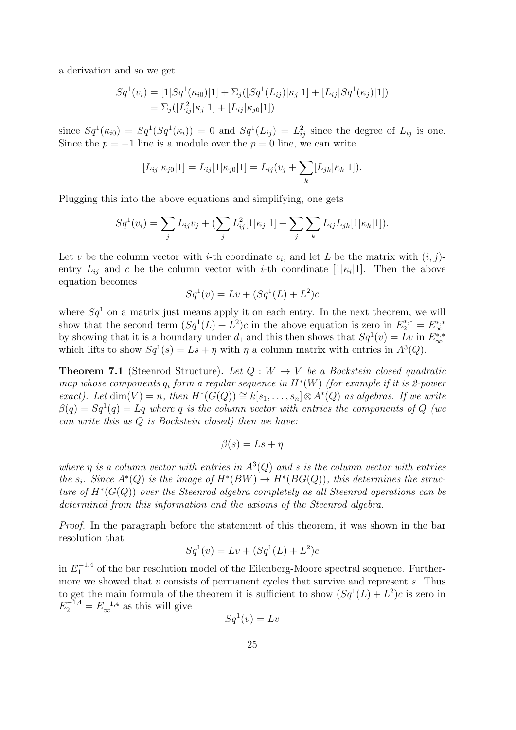a derivation and so we get

$$
Sq^{1}(v_{i}) = [1|Sq^{1}(\kappa_{i0})|1] + \sum_{j} ([Sq^{1}(L_{ij})|\kappa_{j}|1] + [L_{ij}|Sq^{1}(\kappa_{j})|1])
$$
  
=  $\sum_{j} ([L_{ij}^{2}|\kappa_{j}|1] + [L_{ij}|\kappa_{j0}|1])$ 

since  $Sq^1(\kappa_{i0}) = Sq^1(Sq^1(\kappa_i)) = 0$  and  $Sq^1(L_{ij}) = L_{ij}^2$  since the degree of  $L_{ij}$  is one. Since the  $p = -1$  line is a module over the  $p = 0$  line, we can write

$$
[L_{ij}|\kappa_{j0}|1] = L_{ij}[1|\kappa_{j0}|1] = L_{ij}(v_j + \sum_k [L_{jk}|\kappa_k|1]).
$$

Plugging this into the above equations and simplifying, one gets

$$
Sq^{1}(v_{i}) = \sum_{j} L_{ij}v_{j} + (\sum_{j} L_{ij}^{2}[1|\kappa_{j}|1] + \sum_{j} \sum_{k} L_{ij}L_{jk}[1|\kappa_{k}|1]).
$$

Let v be the column vector with *i*-th coordinate  $v_i$ , and let L be the matrix with  $(i, j)$ entry  $L_{ij}$  and c be the column vector with *i*-th coordinate [1 $|\kappa_i|$ ]. Then the above equation becomes

$$
Sq^{1}(v) = Lv + (Sq^{1}(L) + L^{2})c
$$

where  $Sq^1$  on a matrix just means apply it on each entry. In the next theorem, we will show that the second term  $(Sq^1(L) + L^2)c$  in the above equation is zero in  $E_2^{*,*} = E_{\infty}^{*,*}$ by showing that it is a boundary under  $d_1$  and this then shows that  $Sq^1(v) = Lv$  in  $E_{\infty}^{*,*}$ which lifts to show  $Sq^1(s) = Ls + \eta$  with  $\eta$  a column matrix with entries in  $A^3(Q)$ .

**Theorem 7.1** (Steenrod Structure). Let  $Q: W \to V$  be a Bockstein closed quadratic map whose components  $q_i$  form a regular sequence in  $H^*(W)$  (for example if it is 2-power exact). Let dim $(V) = n$ , then  $H^*(G(Q)) \cong k[s_1, \ldots, s_n] \otimes A^*(Q)$  as algebras. If we write  $\beta(q) = Sq^1(q) = Lq$  where q is the column vector with entries the components of Q (we can write this as Q is Bockstein closed) then we have:

$$
\beta(s) = Ls + \eta
$$

where  $\eta$  is a column vector with entries in  $A^{3}(Q)$  and s is the column vector with entries the  $s_i$ . Since  $A^*(Q)$  is the image of  $H^*(BW) \to H^*(BG(Q))$ , this determines the structure of  $H^*(G(Q))$  over the Steenrod algebra completely as all Steenrod operations can be determined from this information and the axioms of the Steenrod algebra.

Proof. In the paragraph before the statement of this theorem, it was shown in the bar resolution that

$$
Sq^{1}(v) = Lv + (Sq^{1}(L) + L^{2})c
$$

in  $E_1^{-1,4}$  $1^{1,4}$  of the bar resolution model of the Eilenberg-Moore spectral sequence. Furthermore we showed that  $v$  consists of permanent cycles that survive and represent  $s$ . Thus to get the main formula of the theorem it is sufficient to show  $(Sq<sup>1</sup>(L) + L<sup>2</sup>)c$  is zero in  $E_2^{-1,4} = E_{\infty}^{-1,4}$  as this will give

$$
Sq^1(v) = Lv
$$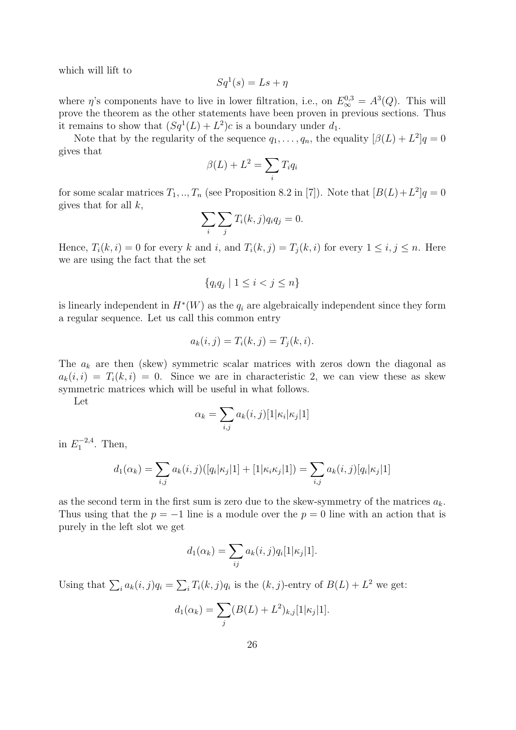which will lift to

$$
Sq^1(s) = Ls + \eta
$$

where  $\eta$ 's components have to live in lower filtration, i.e., on  $E_{\infty}^{0,3} = A^{3}(Q)$ . This will prove the theorem as the other statements have been proven in previous sections. Thus it remains to show that  $(Sq^1(L) + L^2)c$  is a boundary under  $d_1$ .

Note that by the regularity of the sequence  $q_1, \ldots, q_n$ , the equality  $[\beta(L) + L^2]q = 0$ gives that

$$
\beta(L) + L^2 = \sum_i T_i q_i
$$

for some scalar matrices  $T_1, ..., T_n$  (see Proposition 8.2 in [7]). Note that  $[B(L) + L^2]q = 0$ gives that for all  $k$ ,

$$
\sum_{i} \sum_{j} T_i(k, j) q_i q_j = 0.
$$

Hence,  $T_i(k, i) = 0$  for every k and i, and  $T_i(k, j) = T_j(k, i)$  for every  $1 \leq i, j \leq n$ . Here we are using the fact that the set

$$
\{q_i q_j \mid 1 \le i < j \le n\}
$$

is linearly independent in  $H^*(W)$  as the  $q_i$  are algebraically independent since they form a regular sequence. Let us call this common entry

$$
a_k(i,j) = T_i(k,j) = T_j(k,i).
$$

The  $a_k$  are then (skew) symmetric scalar matrices with zeros down the diagonal as  $a_k(i, i) = T_i(k, i) = 0$ . Since we are in characteristic 2, we can view these as skew symmetric matrices which will be useful in what follows.

Let

$$
\alpha_k = \sum_{i,j} a_k(i,j) [1|\kappa_i|\kappa_j|1]
$$

in  $E_1^{-2,4}$  $1^{1-2,4}$ . Then,

$$
d_1(\alpha_k) = \sum_{i,j} a_k(i,j) ([q_i | \kappa_j | 1] + [1 | \kappa_i \kappa_j | 1]) = \sum_{i,j} a_k(i,j) [q_i | \kappa_j | 1]
$$

as the second term in the first sum is zero due to the skew-symmetry of the matrices  $a_k$ . Thus using that the  $p = -1$  line is a module over the  $p = 0$  line with an action that is purely in the left slot we get

$$
d_1(\alpha_k) = \sum_{ij} a_k(i,j) q_i[1|\kappa_j|1].
$$

Using that  $\sum_i a_k(i, j)q_i = \sum_i T_i(k, j)q_i$  is the  $(k, j)$ -entry of  $B(L) + L^2$  we get:

$$
d_1(\alpha_k) = \sum_j (B(L) + L^2)_{k,j} [1 | \kappa_j | 1].
$$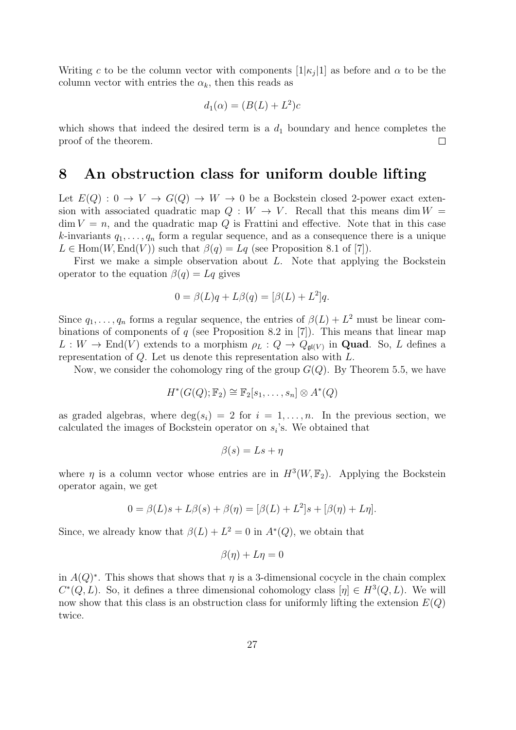Writing c to be the column vector with components  $[1|\kappa_j|1]$  as before and  $\alpha$  to be the column vector with entries the  $\alpha_k$ , then this reads as

$$
d_1(\alpha) = (B(L) + L^2)c
$$

which shows that indeed the desired term is a  $d_1$  boundary and hence completes the proof of the theorem.  $\Box$ 

#### 8 An obstruction class for uniform double lifting

Let  $E(Q) : 0 \to V \to G(Q) \to W \to 0$  be a Bockstein closed 2-power exact extension with associated quadratic map  $Q: W \to V$ . Recall that this means dim  $W =$  $\dim V = n$ , and the quadratic map Q is Frattini and effective. Note that in this case k-invariants  $q_1, \ldots, q_n$  form a regular sequence, and as a consequence there is a unique  $L \in \text{Hom}(W, \text{End}(V))$  such that  $\beta(q) = Lq$  (see Proposition 8.1 of [7]).

First we make a simple observation about L. Note that applying the Bockstein operator to the equation  $\beta(q) = Lq$  gives

$$
0 = \beta(L)q + L\beta(q) = [\beta(L) + L^2]q.
$$

Since  $q_1, \ldots, q_n$  forms a regular sequence, the entries of  $\beta(L) + L^2$  must be linear combinations of components of  $q$  (see Proposition 8.2 in [7]). This means that linear map  $L: W \to \text{End}(V)$  extends to a morphism  $\rho_L: Q \to Q_{\mathfrak{gl}(V)}$  in **Quad**. So, L defines a representation of Q. Let us denote this representation also with L.

Now, we consider the cohomology ring of the group  $G(Q)$ . By Theorem 5.5, we have

$$
H^*(G(Q); \mathbb{F}_2) \cong \mathbb{F}_2[s_1, \ldots, s_n] \otimes A^*(Q)
$$

as graded algebras, where  $deg(s_i) = 2$  for  $i = 1, \ldots, n$ . In the previous section, we calculated the images of Bockstein operator on  $s_i$ 's. We obtained that

$$
\beta(s) = Ls + \eta
$$

where  $\eta$  is a column vector whose entries are in  $H^3(W, \mathbb{F}_2)$ . Applying the Bockstein operator again, we get

$$
0 = \beta(L)s + L\beta(s) + \beta(\eta) = [\beta(L) + L^2]s + [\beta(\eta) + L\eta].
$$

Since, we already know that  $\beta(L) + L^2 = 0$  in  $A^*(Q)$ , we obtain that

$$
\beta(\eta) + L\eta = 0
$$

in  $A(Q)^*$ . This shows that shows that  $\eta$  is a 3-dimensional cocycle in the chain complex  $C^*(Q, L)$ . So, it defines a three dimensional cohomology class  $[\eta] \in H^3(Q, L)$ . We will now show that this class is an obstruction class for uniformly lifting the extension  $E(Q)$ twice.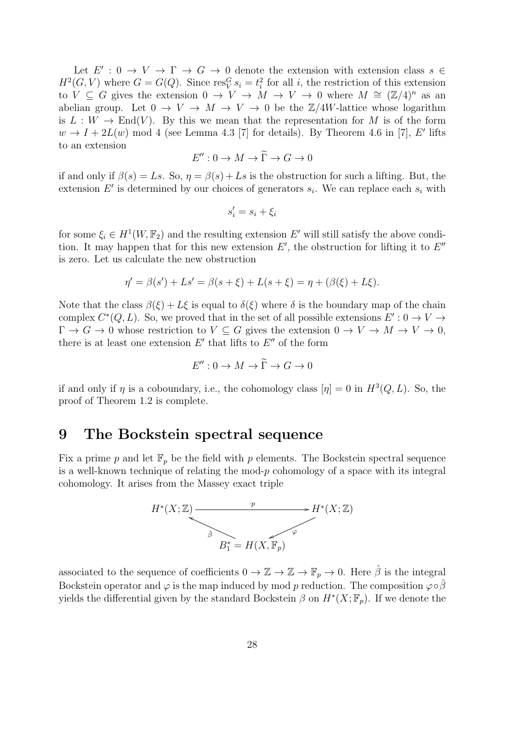Let  $E' : 0 \to V \to \Gamma \to G \to 0$  denote the extension with extension class  $s \in$  $H^2(G, V)$  where  $G = G(Q)$ . Since res<sup> $G$ </sup>,  $s_i = t_i^2$  for all i, the restriction of this extension to  $V \subseteq G$  gives the extension  $0 \to V \to M \to V \to 0$  where  $M \cong (\mathbb{Z}/4)^n$  as an abelian group. Let  $0 \to V \to M \to V \to 0$  be the  $\mathbb{Z}/4W$ -lattice whose logarithm is  $L: W \to \text{End}(V)$ . By this we mean that the representation for M is of the form  $w \to I + 2L(w)$  mod 4 (see Lemma 4.3 [7] for details). By Theorem 4.6 in [7], E' lifts to an extension

$$
E'': 0 \to M \to \widetilde{\Gamma} \to G \to 0
$$

if and only if  $\beta(s) = Ls$ . So,  $\eta = \beta(s) + Ls$  is the obstruction for such a lifting. But, the extension  $E'$  is determined by our choices of generators  $s_i$ . We can replace each  $s_i$  with

$$
s_i' = s_i + \xi_i
$$

for some  $\xi_i \in H^1(W, \mathbb{F}_2)$  and the resulting extension E' will still satisfy the above condition. It may happen that for this new extension  $E'$ , the obstruction for lifting it to  $E''$ is zero. Let us calculate the new obstruction

$$
\eta' = \beta(s') + Ls' = \beta(s + \xi) + L(s + \xi) = \eta + (\beta(\xi) + L\xi).
$$

Note that the class  $\beta(\xi) + L\xi$  is equal to  $\delta(\xi)$  where  $\delta$  is the boundary map of the chain complex  $C^*(Q, L)$ . So, we proved that in the set of all possible extensions  $E' : 0 \to V \to$  $\Gamma \to G \to 0$  whose restriction to  $V \subseteq G$  gives the extension  $0 \to V \to M \to V \to 0$ , there is at least one extension  $E'$  that lifts to  $E''$  of the form

$$
E'': 0 \to M \to \widetilde{\Gamma} \to G \to 0
$$

if and only if  $\eta$  is a coboundary, i.e., the cohomology class  $[\eta] = 0$  in  $H^3(Q, L)$ . So, the proof of Theorem 1.2 is complete.

### 9 The Bockstein spectral sequence

Fix a prime p and let  $\mathbb{F}_p$  be the field with p elements. The Bockstein spectral sequence is a well-known technique of relating the mod- $p$  cohomology of a space with its integral cohomology. It arises from the Massey exact triple



associated to the sequence of coefficients  $0 \to \mathbb{Z} \to \mathbb{Z} \to \mathbb{F}_p \to 0$ . Here  $\hat{\beta}$  is the integral Bockstein operator and  $\varphi$  is the map induced by mod p reduction. The composition  $\varphi \circ \hat{\beta}$ yields the differential given by the standard Bockstein  $\beta$  on  $H^*(X; \mathbb{F}_p)$ . If we denote the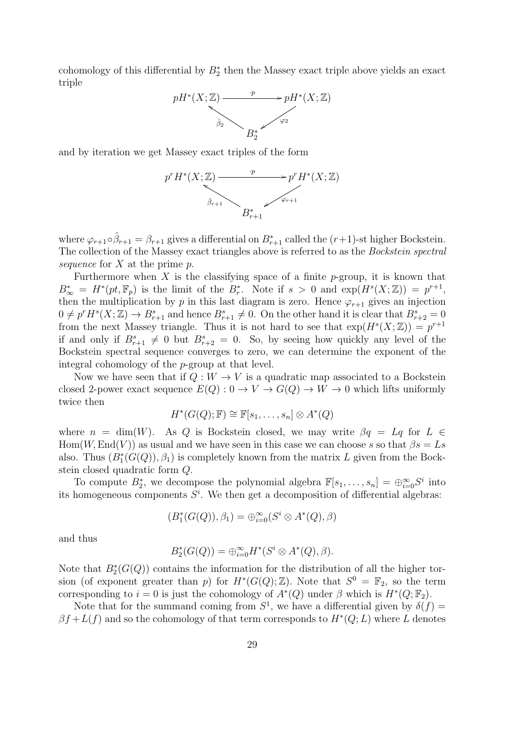cohomology of this differential by  $B_2^*$  then the Massey exact triple above yields an exact triple



and by iteration we get Massey exact triples of the form



where  $\varphi_{r+1} \circ \hat{\beta}_{r+1} = \beta_{r+1}$  gives a differential on  $B^*_{r+1}$  called the  $(r+1)$ -st higher Bockstein. The collection of the Massey exact triangles above is referred to as the Bockstein spectral sequence for  $X$  at the prime  $p$ .

Furthermore when X is the classifying space of a finite  $p$ -group, it is known that  $B^*_{\infty} = H^*(pt, \mathbb{F}_p)$  is the limit of the  $B^*_r$ . Note if  $s > 0$  and  $\exp(H^s(X; \mathbb{Z})) = p^{r+1}$ , then the multiplication by p in this last diagram is zero. Hence  $\varphi_{r+1}$  gives an injection  $0 \neq p^r H^s(X; \mathbb{Z}) \to B^s_{r+1}$  and hence  $B^s_{r+1} \neq 0$ . On the other hand it is clear that  $B^s_{r+2} = 0$ from the next Massey triangle. Thus it is not hard to see that  $\exp(H^s(X; \mathbb{Z})) = p^{r+1}$ if and only if  $B_{r+1}^s \neq 0$  but  $B_{r+2}^s = 0$ . So, by seeing how quickly any level of the Bockstein spectral sequence converges to zero, we can determine the exponent of the integral cohomology of the p-group at that level.

Now we have seen that if  $Q: W \to V$  is a quadratic map associated to a Bockstein closed 2-power exact sequence  $E(Q): 0 \to V \to G(Q) \to W \to 0$  which lifts uniformly twice then

$$
H^*(G(Q); \mathbb{F}) \cong \mathbb{F}[s_1, \ldots, s_n] \otimes A^*(Q)
$$

where  $n = \dim(W)$ . As Q is Bockstein closed, we may write  $\beta q = Lq$  for  $L \in$  $\text{Hom}(W, \text{End}(V))$  as usual and we have seen in this case we can choose s so that  $\beta s = Ls$ also. Thus  $(B_1^*(G(Q)), \beta_1)$  is completely known from the matrix L given from the Bockstein closed quadratic form Q.

To compute  $B_2^*$ , we decompose the polynomial algebra  $\mathbb{F}[s_1,\ldots,s_n] = \bigoplus_{i=0}^{\infty} S^i$  into its homogeneous components  $S<sup>i</sup>$ . We then get a decomposition of differential algebras:

$$
(B_1^*(G(Q)), \beta_1) = \bigoplus_{i=0}^{\infty} (S^i \otimes A^*(Q), \beta)
$$

and thus

$$
B_2^*(G(Q)) = \bigoplus_{i=0}^{\infty} H^*(S^i \otimes A^*(Q), \beta).
$$

Note that  $B_2^*(G(Q))$  contains the information for the distribution of all the higher torsion (of exponent greater than p) for  $H^*(G(Q); \mathbb{Z})$ . Note that  $S^0 = \mathbb{F}_2$ , so the term corresponding to  $i = 0$  is just the cohomology of  $A^*(Q)$  under  $\beta$  which is  $H^*(Q; \mathbb{F}_2)$ .

Note that for the summand coming from  $S^1$ , we have a differential given by  $\delta(f)$  =  $\beta f + L(f)$  and so the cohomology of that term corresponds to  $H^*(Q; L)$  where L denotes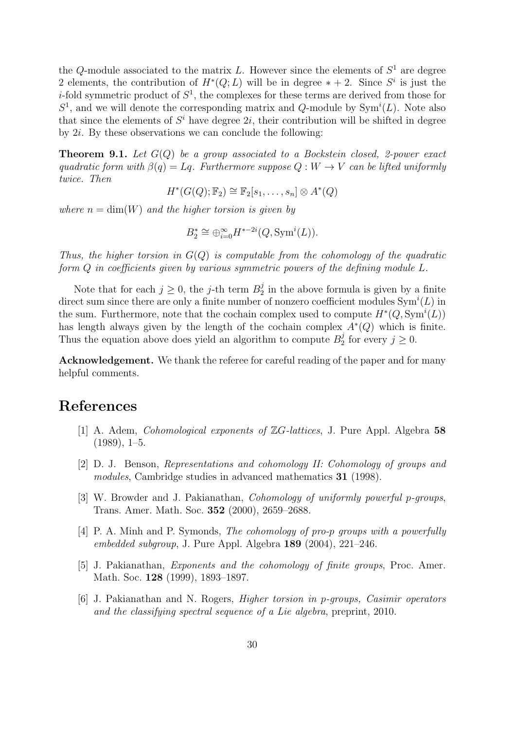the Q-module associated to the matrix L. However since the elements of  $S^1$  are degree 2 elements, the contribution of  $H^*(Q; L)$  will be in degree  $* + 2$ . Since  $S^i$  is just the *i*-fold symmetric product of  $S^1$ , the complexes for these terms are derived from those for  $S^1$ , and we will denote the corresponding matrix and Q-module by  $\text{Sym}^i(L)$ . Note also that since the elements of  $S<sup>i</sup>$  have degree  $2i$ , their contribution will be shifted in degree by  $2i$ . By these observations we can conclude the following:

**Theorem 9.1.** Let  $G(Q)$  be a group associated to a Bockstein closed, 2-power exact quadratic form with  $\beta(q) = Lq$ . Furthermore suppose  $Q: W \to V$  can be lifted uniformly twice. Then

 $H^*(G(Q); \mathbb{F}_2) \cong \mathbb{F}_2[s_1, \ldots, s_n] \otimes A^*(Q)$ 

where  $n = \dim(W)$  and the higher torsion is given by

$$
B_2^* \cong \bigoplus_{i=0}^{\infty} H^{*-2i}(Q, \text{Sym}^i(L)).
$$

Thus, the higher torsion in  $G(Q)$  is computable from the cohomology of the quadratic form Q in coefficients given by various symmetric powers of the defining module L.

Note that for each  $j \geq 0$ , the j-th term  $B_2^j$  $\frac{1}{2}$  in the above formula is given by a finite direct sum since there are only a finite number of nonzero coefficient modules  $\text{Sym}^{i}(L)$  in the sum. Furthermore, note that the cochain complex used to compute  $H^*(Q, \text{Sym}^i(L))$ has length always given by the length of the cochain complex  $A^*(Q)$  which is finite. Thus the equation above does yield an algorithm to compute  $B_2^j$  $j_2^j$  for every  $j \geq 0$ .

Acknowledgement. We thank the referee for careful reading of the paper and for many helpful comments.

### References

- [1] A. Adem, Cohomological exponents of ZG-lattices, J. Pure Appl. Algebra 58  $(1989), 1-5.$
- [2] D. J. Benson, Representations and cohomology II: Cohomology of groups and modules, Cambridge studies in advanced mathematics 31 (1998).
- [3] W. Browder and J. Pakianathan, Cohomology of uniformly powerful p-groups, Trans. Amer. Math. Soc. 352 (2000), 2659–2688.
- [4] P. A. Minh and P. Symonds, The cohomology of pro-p groups with a powerfully embedded subgroup, J. Pure Appl. Algebra 189 (2004), 221–246.
- [5] J. Pakianathan, Exponents and the cohomology of finite groups, Proc. Amer. Math. Soc. 128 (1999), 1893–1897.
- [6] J. Pakianathan and N. Rogers, Higher torsion in p-groups, Casimir operators and the classifying spectral sequence of a Lie algebra, preprint, 2010.